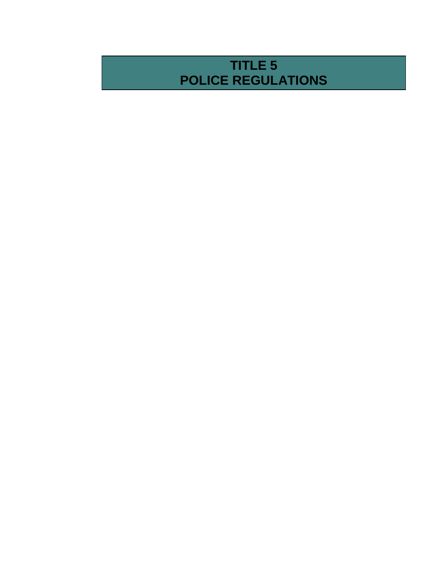# **TITLE 5 POLICE REGULATIONS**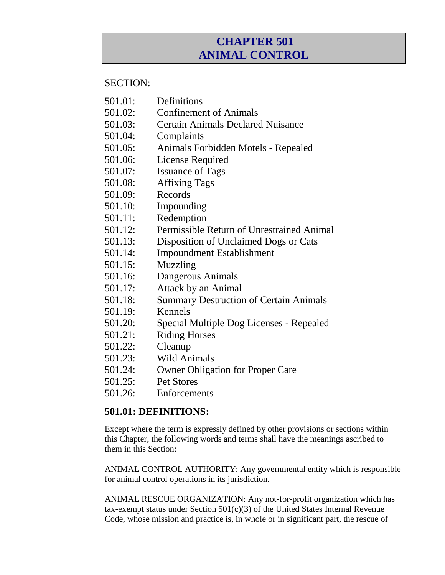## **CHAPTER 501 ANIMAL CONTROL**

#### SECTION:

- 501.01: Definitions
- 501.02: Confinement of Animals
- 501.03: Certain Animals Declared Nuisance
- 501.04: Complaints
- 501.05: Animals Forbidden Motels Repealed
- 501.06: License Required
- 501.07: Issuance of Tags
- 501.08: Affixing Tags
- 501.09: Records
- 501.10: Impounding
- 501.11: Redemption
- 501.12: Permissible Return of Unrestrained Animal
- 501.13: Disposition of Unclaimed Dogs or Cats
- 501.14: Impoundment Establishment
- 501.15: Muzzling
- 501.16: Dangerous Animals
- 501.17: Attack by an Animal
- 501.18: Summary Destruction of Certain Animals
- 501.19: Kennels
- 501.20: Special Multiple Dog Licenses Repealed
- 501.21: Riding Horses
- 501.22: Cleanup
- 501.23: Wild Animals
- 501.24: Owner Obligation for Proper Care
- 501.25: Pet Stores
- 501.26: Enforcements

### **501.01: DEFINITIONS:**

Except where the term is expressly defined by other provisions or sections within this Chapter, the following words and terms shall have the meanings ascribed to them in this Section:

ANIMAL CONTROL AUTHORITY: Any governmental entity which is responsible for animal control operations in its jurisdiction.

ANIMAL RESCUE ORGANIZATION: Any not-for-profit organization which has tax-exempt status under Section 501(c)(3) of the United States Internal Revenue Code, whose mission and practice is, in whole or in significant part, the rescue of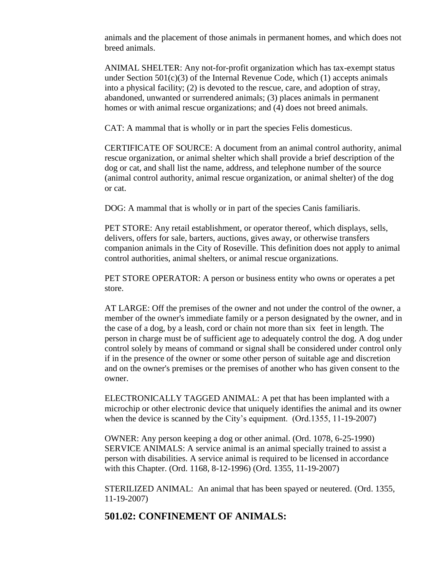animals and the placement of those animals in permanent homes, and which does not breed animals.

ANIMAL SHELTER: Any not-for-profit organization which has tax-exempt status under Section  $501(c)(3)$  of the Internal Revenue Code, which (1) accepts animals into a physical facility; (2) is devoted to the rescue, care, and adoption of stray, abandoned, unwanted or surrendered animals; (3) places animals in permanent homes or with animal rescue organizations; and (4) does not breed animals.

CAT: A mammal that is wholly or in part the species Felis domesticus.

CERTIFICATE OF SOURCE: A document from an animal control authority, animal rescue organization, or animal shelter which shall provide a brief description of the dog or cat, and shall list the name, address, and telephone number of the source (animal control authority, animal rescue organization, or animal shelter) of the dog or cat.

DOG: A mammal that is wholly or in part of the species Canis familiaris.

PET STORE: Any retail establishment, or operator thereof, which displays, sells, delivers, offers for sale, barters, auctions, gives away, or otherwise transfers companion animals in the City of Roseville. This definition does not apply to animal control authorities, animal shelters, or animal rescue organizations.

PET STORE OPERATOR: A person or business entity who owns or operates a pet store.

AT LARGE: Off the premises of the owner and not under the control of the owner, a member of the owner's immediate family or a person designated by the owner, and in the case of a dog, by a leash, cord or chain not more than six feet in length. The person in charge must be of sufficient age to adequately control the dog. A dog under control solely by means of command or signal shall be considered under control only if in the presence of the owner or some other person of suitable age and discretion and on the owner's premises or the premises of another who has given consent to the owner.

ELECTRONICALLY TAGGED ANIMAL: A pet that has been implanted with a microchip or other electronic device that uniquely identifies the animal and its owner when the device is scanned by the City's equipment. (Ord.1355, 11-19-2007)

OWNER: Any person keeping a dog or other animal. (Ord. 1078, 6-25-1990) SERVICE ANIMALS: A service animal is an animal specially trained to assist a person with disabilities. A service animal is required to be licensed in accordance with this Chapter. (Ord. 1168, 8-12-1996) (Ord. 1355, 11-19-2007)

STERILIZED ANIMAL: An animal that has been spayed or neutered. (Ord. 1355, 11-19-2007)

#### **501.02: CONFINEMENT OF ANIMALS:**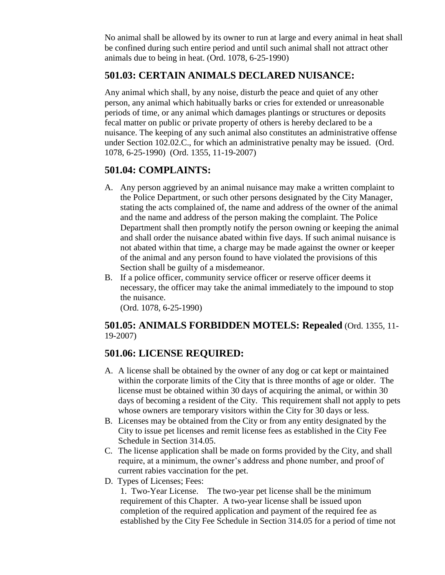No animal shall be allowed by its owner to run at large and every animal in heat shall be confined during such entire period and until such animal shall not attract other animals due to being in heat. (Ord. 1078, 6-25-1990)

## **501.03: CERTAIN ANIMALS DECLARED NUISANCE:**

Any animal which shall, by any noise, disturb the peace and quiet of any other person, any animal which habitually barks or cries for extended or unreasonable periods of time, or any animal which damages plantings or structures or deposits fecal matter on public or private property of others is hereby declared to be a nuisance. The keeping of any such animal also constitutes an administrative offense under Section 102.02.C., for which an administrative penalty may be issued. (Ord. 1078, 6-25-1990) (Ord. 1355, 11-19-2007)

### **501.04: COMPLAINTS:**

- A. Any person aggrieved by an animal nuisance may make a written complaint to the Police Department, or such other persons designated by the City Manager, stating the acts complained of, the name and address of the owner of the animal and the name and address of the person making the complaint. The Police Department shall then promptly notify the person owning or keeping the animal and shall order the nuisance abated within five days. If such animal nuisance is not abated within that time, a charge may be made against the owner or keeper of the animal and any person found to have violated the provisions of this Section shall be guilty of a misdemeanor.
- B. If a police officer, community service officer or reserve officer deems it necessary, the officer may take the animal immediately to the impound to stop the nuisance.

(Ord. 1078, 6-25-1990)

#### **501.05: ANIMALS FORBIDDEN MOTELS: Repealed** (Ord. 1355, 11- 19-2007)

### **501.06: LICENSE REQUIRED:**

- A. A license shall be obtained by the owner of any dog or cat kept or maintained within the corporate limits of the City that is three months of age or older. The license must be obtained within 30 days of acquiring the animal, or within 30 days of becoming a resident of the City. This requirement shall not apply to pets whose owners are temporary visitors within the City for 30 days or less.
- B. Licenses may be obtained from the City or from any entity designated by the City to issue pet licenses and remit license fees as established in the City Fee Schedule in Section 314.05.
- C. The license application shall be made on forms provided by the City, and shall require, at a minimum, the owner's address and phone number, and proof of current rabies vaccination for the pet.
- D. Types of Licenses; Fees:

1. Two-Year License. The two-year pet license shall be the minimum requirement of this Chapter. A two-year license shall be issued upon completion of the required application and payment of the required fee as established by the City Fee Schedule in Section 314.05 for a period of time not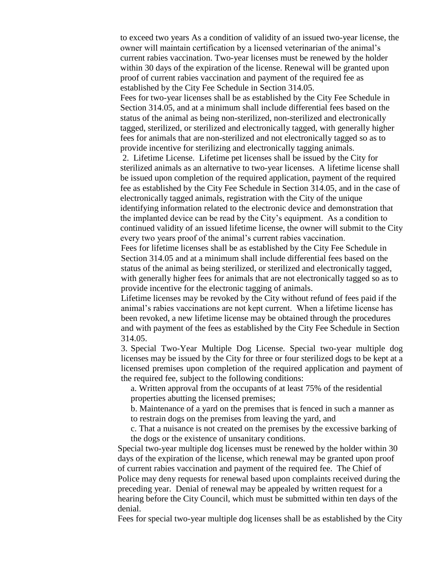to exceed two years As a condition of validity of an issued two-year license, the owner will maintain certification by a licensed veterinarian of the animal's current rabies vaccination. Two-year licenses must be renewed by the holder within 30 days of the expiration of the license. Renewal will be granted upon proof of current rabies vaccination and payment of the required fee as established by the City Fee Schedule in Section 314.05.

Fees for two-year licenses shall be as established by the City Fee Schedule in Section 314.05, and at a minimum shall include differential fees based on the status of the animal as being non-sterilized, non-sterilized and electronically tagged, sterilized, or sterilized and electronically tagged, with generally higher fees for animals that are non-sterilized and not electronically tagged so as to provide incentive for sterilizing and electronically tagging animals.

2. Lifetime License. Lifetime pet licenses shall be issued by the City for sterilized animals as an alternative to two-year licenses. A lifetime license shall be issued upon completion of the required application, payment of the required fee as established by the City Fee Schedule in Section 314.05, and in the case of electronically tagged animals, registration with the City of the unique identifying information related to the electronic device and demonstration that the implanted device can be read by the City's equipment. As a condition to continued validity of an issued lifetime license, the owner will submit to the City every two years proof of the animal's current rabies vaccination.

Fees for lifetime licenses shall be as established by the City Fee Schedule in Section 314.05 and at a minimum shall include differential fees based on the status of the animal as being sterilized, or sterilized and electronically tagged, with generally higher fees for animals that are not electronically tagged so as to provide incentive for the electronic tagging of animals.

Lifetime licenses may be revoked by the City without refund of fees paid if the animal's rabies vaccinations are not kept current. When a lifetime license has been revoked, a new lifetime license may be obtained through the procedures and with payment of the fees as established by the City Fee Schedule in Section 314.05.

3. Special Two-Year Multiple Dog License. Special two-year multiple dog licenses may be issued by the City for three or four sterilized dogs to be kept at a licensed premises upon completion of the required application and payment of the required fee, subject to the following conditions:

a. Written approval from the occupants of at least 75% of the residential properties abutting the licensed premises;

b. Maintenance of a yard on the premises that is fenced in such a manner as to restrain dogs on the premises from leaving the yard, and

c. That a nuisance is not created on the premises by the excessive barking of the dogs or the existence of unsanitary conditions.

Special two-year multiple dog licenses must be renewed by the holder within 30 days of the expiration of the license, which renewal may be granted upon proof of current rabies vaccination and payment of the required fee. The Chief of Police may deny requests for renewal based upon complaints received during the preceding year. Denial of renewal may be appealed by written request for a hearing before the City Council, which must be submitted within ten days of the denial.

Fees for special two-year multiple dog licenses shall be as established by the City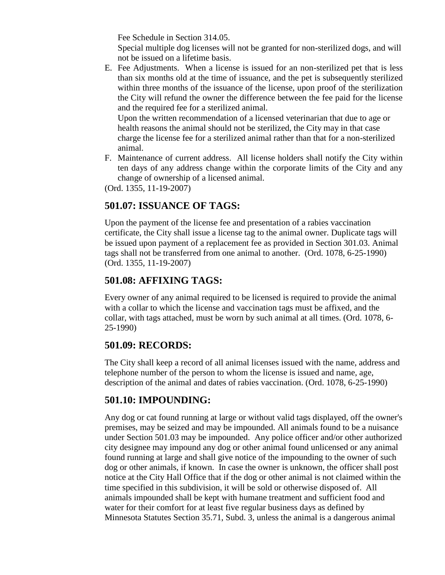Fee Schedule in Section 314.05.

Special multiple dog licenses will not be granted for non-sterilized dogs, and will not be issued on a lifetime basis.

E. Fee Adjustments. When a license is issued for an non-sterilized pet that is less than six months old at the time of issuance, and the pet is subsequently sterilized within three months of the issuance of the license, upon proof of the sterilization the City will refund the owner the difference between the fee paid for the license and the required fee for a sterilized animal.

Upon the written recommendation of a licensed veterinarian that due to age or health reasons the animal should not be sterilized, the City may in that case charge the license fee for a sterilized animal rather than that for a non-sterilized animal.

F. Maintenance of current address. All license holders shall notify the City within ten days of any address change within the corporate limits of the City and any change of ownership of a licensed animal.

(Ord. 1355, 11-19-2007)

#### **501.07: ISSUANCE OF TAGS:**

Upon the payment of the license fee and presentation of a rabies vaccination certificate, the City shall issue a license tag to the animal owner. Duplicate tags will be issued upon payment of a replacement fee as provided in Section 301.03. Animal tags shall not be transferred from one animal to another. (Ord. 1078, 6-25-1990) (Ord. 1355, 11-19-2007)

#### **501.08: AFFIXING TAGS:**

Every owner of any animal required to be licensed is required to provide the animal with a collar to which the license and vaccination tags must be affixed, and the collar, with tags attached, must be worn by such animal at all times. (Ord. 1078, 6- 25-1990)

#### **501.09: RECORDS:**

The City shall keep a record of all animal licenses issued with the name, address and telephone number of the person to whom the license is issued and name, age, description of the animal and dates of rabies vaccination. (Ord. 1078, 6-25-1990)

### **501.10: IMPOUNDING:**

Any dog or cat found running at large or without valid tags displayed, off the owner's premises, may be seized and may be impounded. All animals found to be a nuisance under Section 501.03 may be impounded. Any police officer and/or other authorized city designee may impound any dog or other animal found unlicensed or any animal found running at large and shall give notice of the impounding to the owner of such dog or other animals, if known. In case the owner is unknown, the officer shall post notice at the City Hall Office that if the dog or other animal is not claimed within the time specified in this subdivision, it will be sold or otherwise disposed of. All animals impounded shall be kept with humane treatment and sufficient food and water for their comfort for at least five regular business days as defined by Minnesota Statutes Section 35.71, Subd. 3, unless the animal is a dangerous animal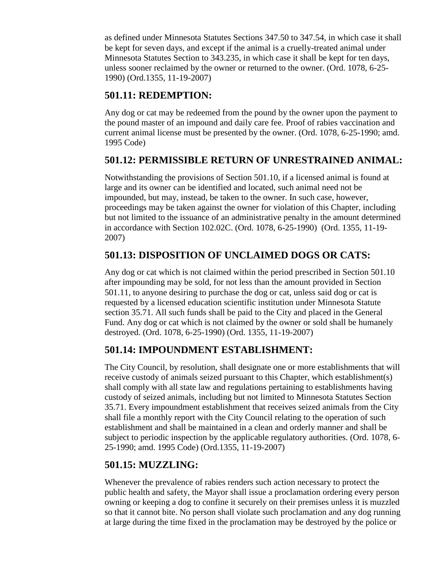as defined under Minnesota Statutes Sections 347.50 to 347.54, in which case it shall be kept for seven days, and except if the animal is a cruelly-treated animal under Minnesota Statutes Section to 343.235, in which case it shall be kept for ten days, unless sooner reclaimed by the owner or returned to the owner. (Ord. 1078, 6-25- 1990) (Ord.1355, 11-19-2007)

## **501.11: REDEMPTION:**

Any dog or cat may be redeemed from the pound by the owner upon the payment to the pound master of an impound and daily care fee. Proof of rabies vaccination and current animal license must be presented by the owner. (Ord. 1078, 6-25-1990; amd. 1995 Code)

### **501.12: PERMISSIBLE RETURN OF UNRESTRAINED ANIMAL:**

Notwithstanding the provisions of Section 501.10, if a licensed animal is found at large and its owner can be identified and located, such animal need not be impounded, but may, instead, be taken to the owner. In such case, however, proceedings may be taken against the owner for violation of this Chapter, including but not limited to the issuance of an administrative penalty in the amount determined in accordance with Section 102.02C. (Ord. 1078, 6-25-1990) (Ord. 1355, 11-19- 2007)

## **501.13: DISPOSITION OF UNCLAIMED DOGS OR CATS:**

Any dog or cat which is not claimed within the period prescribed in Section 501.10 after impounding may be sold, for not less than the amount provided in Section 501.11, to anyone desiring to purchase the dog or cat, unless said dog or cat is requested by a licensed education scientific institution under Minnesota Statute section 35.71. All such funds shall be paid to the City and placed in the General Fund. Any dog or cat which is not claimed by the owner or sold shall be humanely destroyed. (Ord. 1078, 6-25-1990) (Ord. 1355, 11-19-2007)

## **501.14: IMPOUNDMENT ESTABLISHMENT:**

The City Council, by resolution, shall designate one or more establishments that will receive custody of animals seized pursuant to this Chapter, which establishment(s) shall comply with all state law and regulations pertaining to establishments having custody of seized animals, including but not limited to Minnesota Statutes Section 35.71. Every impoundment establishment that receives seized animals from the City shall file a monthly report with the City Council relating to the operation of such establishment and shall be maintained in a clean and orderly manner and shall be subject to periodic inspection by the applicable regulatory authorities. (Ord. 1078, 6- 25-1990; amd. 1995 Code) (Ord.1355, 11-19-2007)

### **501.15: MUZZLING:**

Whenever the prevalence of rabies renders such action necessary to protect the public health and safety, the Mayor shall issue a proclamation ordering every person owning or keeping a dog to confine it securely on their premises unless it is muzzled so that it cannot bite. No person shall violate such proclamation and any dog running at large during the time fixed in the proclamation may be destroyed by the police or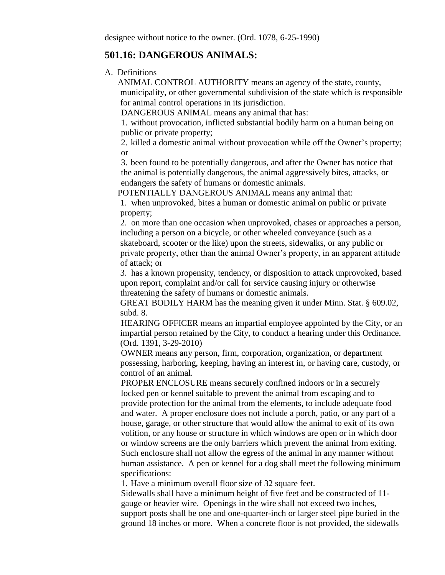#### **501.16: DANGEROUS ANIMALS:**

A. Definitions

ANIMAL CONTROL AUTHORITY means an agency of the state, county, municipality, or other governmental subdivision of the state which is responsible for animal control operations in its jurisdiction.

DANGEROUS ANIMAL means any animal that has:

1. without provocation, inflicted substantial bodily harm on a human being on public or private property;

2. killed a domestic animal without provocation while off the Owner's property; or

3. been found to be potentially dangerous, and after the Owner has notice that the animal is potentially dangerous, the animal aggressively bites, attacks, or endangers the safety of humans or domestic animals.

POTENTIALLY DANGEROUS ANIMAL means any animal that:

1. when unprovoked, bites a human or domestic animal on public or private property;

2. on more than one occasion when unprovoked, chases or approaches a person, including a person on a bicycle, or other wheeled conveyance (such as a skateboard, scooter or the like) upon the streets, sidewalks, or any public or private property, other than the animal Owner's property, in an apparent attitude of attack; or

3. has a known propensity, tendency, or disposition to attack unprovoked, based upon report, complaint and/or call for service causing injury or otherwise threatening the safety of humans or domestic animals.

GREAT BODILY HARM has the meaning given it under Minn. Stat. § [609.02,](http://www.revisor.leg.state.mn.us/data/revisor/statutes/2004/609/02.html) subd. 8.

HEARING OFFICER means an impartial employee appointed by the City, or an impartial person retained by the City, to conduct a hearing under this Ordinance. (Ord. 1391, 3-29-2010)

OWNER means any person, firm, corporation, organization, or department possessing, harboring, keeping, having an interest in, or having care, custody, or control of an animal.

PROPER ENCLOSURE means securely confined indoors or in a securely locked pen or kennel suitable to prevent the animal from escaping and to provide protection for the animal from the elements, to include adequate food and water. A proper enclosure does not include a porch, patio, or any part of a house, garage, or other structure that would allow the animal to exit of its own volition, or any house or structure in which windows are open or in which door or window screens are the only barriers which prevent the animal from exiting. Such enclosure shall not allow the egress of the animal in any manner without human assistance. A pen or kennel for a dog shall meet the following minimum specifications:

1. Have a minimum overall floor size of 32 square feet.

Sidewalls shall have a minimum height of five feet and be constructed of 11 gauge or heavier wire. Openings in the wire shall not exceed two inches, support posts shall be one and one-quarter-inch or larger steel pipe buried in the ground 18 inches or more. When a concrete floor is not provided, the sidewalls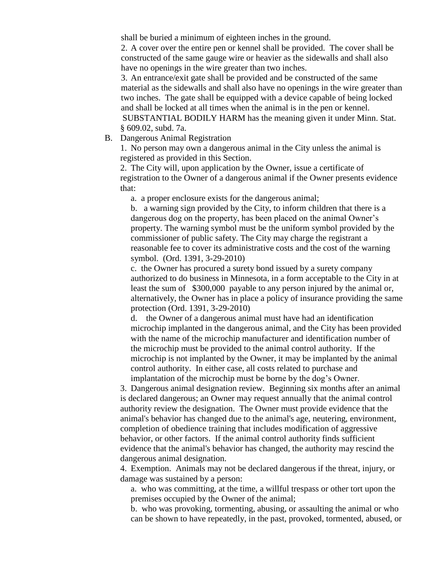shall be buried a minimum of eighteen inches in the ground.

2. A cover over the entire pen or kennel shall be provided. The cover shall be constructed of the same gauge wire or heavier as the sidewalls and shall also have no openings in the wire greater than two inches.

3. An entrance/exit gate shall be provided and be constructed of the same material as the sidewalls and shall also have no openings in the wire greater than two inches. The gate shall be equipped with a device capable of being locked and shall be locked at all times when the animal is in the pen or kennel. SUBSTANTIAL BODILY HARM has the meaning given it under Minn. Stat. § [609.02,](http://www.revisor.leg.state.mn.us/data/revisor/statutes/2004/609/02.html) subd. 7a.

B. Dangerous Animal Registration

1. No person may own a dangerous animal in the City unless the animal is registered as provided in this Section.

2. The City will, upon application by the Owner, issue a certificate of registration to the Owner of a dangerous animal if the Owner presents evidence that:

a. a proper enclosure exists for the dangerous animal;

b. a warning sign provided by the City, to inform children that there is a dangerous dog on the property, has been placed on the animal Owner's property. The warning symbol must be the uniform symbol provided by the commissioner of public safety. The City may charge the registrant a reasonable fee to cover its administrative costs and the cost of the warning symbol. (Ord. 1391, 3-29-2010)

c. the Owner has procured a surety bond issued by a surety company authorized to do business in Minnesota, in a form acceptable to the City in at least the sum of \$300,000 payable to any person injured by the animal or, alternatively, the Owner has in place a policy of insurance providing the same protection (Ord. 1391, 3-29-2010)

d. the Owner of a dangerous animal must have had an identification microchip implanted in the dangerous animal, and the City has been provided with the name of the microchip manufacturer and identification number of the microchip must be provided to the animal control authority. If the microchip is not implanted by the Owner, it may be implanted by the animal control authority. In either case, all costs related to purchase and implantation of the microchip must be borne by the dog's Owner.

3. Dangerous animal designation review. Beginning six months after an animal is declared dangerous; an Owner may request annually that the animal control authority review the designation. The Owner must provide evidence that the animal's behavior has changed due to the animal's age, neutering, environment, completion of obedience training that includes modification of aggressive behavior, or other factors. If the animal control authority finds sufficient evidence that the animal's behavior has changed, the authority may rescind the dangerous animal designation.

4. Exemption. Animals may not be declared dangerous if the threat, injury, or damage was sustained by a person:

a. who was committing, at the time, a willful trespass or other tort upon the premises occupied by the Owner of the animal;

b. who was provoking, tormenting, abusing, or assaulting the animal or who can be shown to have repeatedly, in the past, provoked, tormented, abused, or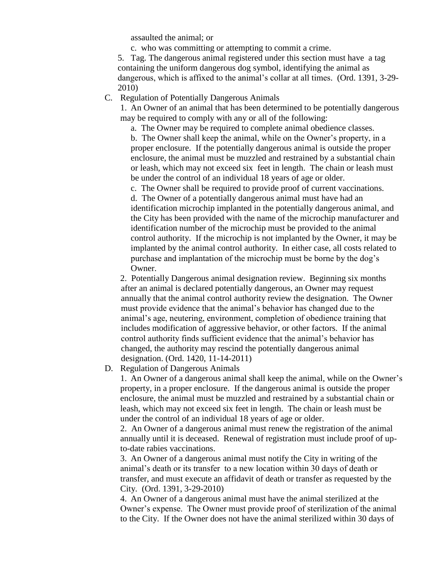assaulted the animal; or

c. who was committing or attempting to commit a crime.

5. Tag. The dangerous animal registered under this section must have a tag containing the uniform dangerous dog symbol, identifying the animal as dangerous, which is affixed to the animal's collar at all times. (Ord. 1391, 3-29- 2010)

#### C. Regulation of Potentially Dangerous Animals

1. An Owner of an animal that has been determined to be potentially dangerous may be required to comply with any or all of the following:

a. The Owner may be required to complete animal obedience classes.

b. The Owner shall keep the animal, while on the Owner's property, in a proper enclosure. If the potentially dangerous animal is outside the proper enclosure, the animal must be muzzled and restrained by a substantial chain or leash, which may not exceed six feet in length. The chain or leash must be under the control of an individual 18 years of age or older.

c. The Owner shall be required to provide proof of current vaccinations. d. The Owner of a potentially dangerous animal must have had an identification microchip implanted in the potentially dangerous animal, and the City has been provided with the name of the microchip manufacturer and identification number of the microchip must be provided to the animal control authority. If the microchip is not implanted by the Owner, it may be implanted by the animal control authority. In either case, all costs related to purchase and implantation of the microchip must be borne by the dog's Owner.

2. Potentially Dangerous animal designation review. Beginning six months after an animal is declared potentially dangerous, an Owner may request annually that the animal control authority review the designation. The Owner must provide evidence that the animal's behavior has changed due to the animal's age, neutering, environment, completion of obedience training that includes modification of aggressive behavior, or other factors. If the animal control authority finds sufficient evidence that the animal's behavior has changed, the authority may rescind the potentially dangerous animal designation. (Ord. 1420, 11-14-2011)

#### D. Regulation of Dangerous Animals

1. An Owner of a dangerous animal shall keep the animal, while on the Owner's property, in a proper enclosure. If the dangerous animal is outside the proper enclosure, the animal must be muzzled and restrained by a substantial chain or leash, which may not exceed six feet in length. The chain or leash must be under the control of an individual 18 years of age or older.

2. An Owner of a dangerous animal must renew the registration of the animal annually until it is deceased. Renewal of registration must include proof of upto-date rabies vaccinations.

3. An Owner of a dangerous animal must notify the City in writing of the animal's death or its transfer to a new location within 30 days of death or transfer, and must execute an affidavit of death or transfer as requested by the City. (Ord. 1391, 3-29-2010)

4. An Owner of a dangerous animal must have the animal sterilized at the Owner's expense. The Owner must provide proof of sterilization of the animal to the City. If the Owner does not have the animal sterilized within 30 days of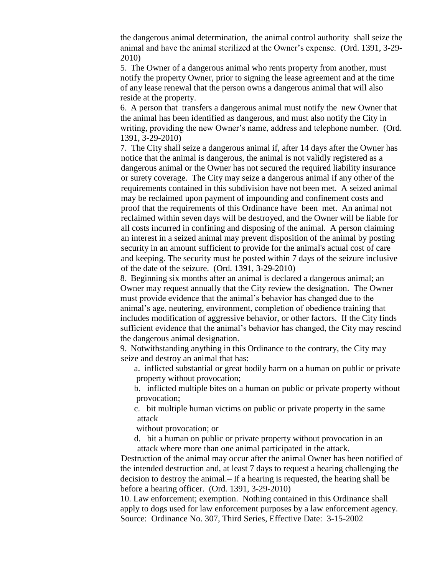the dangerous animal determination, the animal control authority shall seize the animal and have the animal sterilized at the Owner's expense. (Ord. 1391, 3-29- 2010)

5. The Owner of a dangerous animal who rents property from another, must notify the property Owner, prior to signing the lease agreement and at the time of any lease renewal that the person owns a dangerous animal that will also reside at the property.

6. A person that transfers a dangerous animal must notify the new Owner that the animal has been identified as dangerous, and must also notify the City in writing, providing the new Owner's name, address and telephone number. (Ord. 1391, 3-29-2010)

7. The City shall seize a dangerous animal if, after 14 days after the Owner has notice that the animal is dangerous, the animal is not validly registered as a dangerous animal or the Owner has not secured the required liability insurance or surety coverage. The City may seize a dangerous animal if any other of the requirements contained in this subdivision have not been met. A seized animal may be reclaimed upon payment of impounding and confinement costs and proof that the requirements of this Ordinance have been met. An animal not reclaimed within seven days will be destroyed, and the Owner will be liable for all costs incurred in confining and disposing of the animal. A person claiming an interest in a seized animal may prevent disposition of the animal by posting security in an amount sufficient to provide for the animal's actual cost of care and keeping. The security must be posted within 7 days of the seizure inclusive of the date of the seizure. (Ord. 1391, 3-29-2010)

8. Beginning six months after an animal is declared a dangerous animal; an Owner may request annually that the City review the designation. The Owner must provide evidence that the animal's behavior has changed due to the animal's age, neutering, environment, completion of obedience training that includes modification of aggressive behavior, or other factors. If the City finds sufficient evidence that the animal's behavior has changed, the City may rescind the dangerous animal designation.

9. Notwithstanding anything in this Ordinance to the contrary, the City may seize and destroy an animal that has:

a. inflicted substantial or great bodily harm on a human on public or private property without provocation;

b. inflicted multiple bites on a human on public or private property without provocation;

c. bit multiple human victims on public or private property in the same attack

without provocation; or

d. bit a human on public or private property without provocation in an attack where more than one animal participated in the attack.

Destruction of the animal may occur after the animal Owner has been notified of the intended destruction and, at least 7 days to request a hearing challenging the decision to destroy the animal. If a hearing is requested, the hearing shall be before a hearing officer. (Ord. 1391, 3-29-2010)

10. Law enforcement; exemption. Nothing contained in this Ordinance shall apply to dogs used for law enforcement purposes by a law enforcement agency. Source: Ordinance No. 307, Third Series, Effective Date: 3-15-2002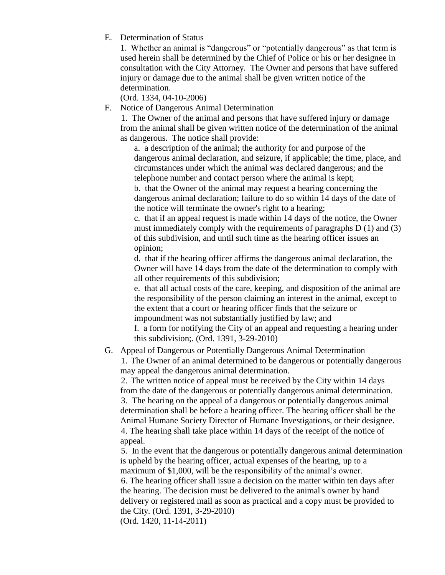E. Determination of Status

1. Whether an animal is "dangerous" or "potentially dangerous" as that term is used herein shall be determined by the Chief of Police or his or her designee in consultation with the City Attorney. The Owner and persons that have suffered injury or damage due to the animal shall be given written notice of the determination.

(Ord. 1334, 04-10-2006)

F. Notice of Dangerous Animal Determination

1. The Owner of the animal and persons that have suffered injury or damage from the animal shall be given written notice of the determination of the animal as dangerous. The notice shall provide:

a. a description of the animal; the authority for and purpose of the dangerous animal declaration, and seizure, if applicable; the time, place, and circumstances under which the animal was declared dangerous; and the telephone number and contact person where the animal is kept;

b. that the Owner of the animal may request a hearing concerning the dangerous animal declaration; failure to do so within 14 days of the date of the notice will terminate the owner's right to a hearing;

c. that if an appeal request is made within 14 days of the notice, the Owner must immediately comply with the requirements of paragraphs D (1) and (3) of this subdivision, and until such time as the hearing officer issues an opinion;

d. that if the hearing officer affirms the dangerous animal declaration, the Owner will have 14 days from the date of the determination to comply with all other requirements of this subdivision;

e. that all actual costs of the care, keeping, and disposition of the animal are the responsibility of the person claiming an interest in the animal, except to the extent that a court or hearing officer finds that the seizure or impoundment was not substantially justified by law; and

f. a form for notifying the City of an appeal and requesting a hearing under this subdivision;. (Ord. 1391, 3-29-2010)

#### G. Appeal of Dangerous or Potentially Dangerous Animal Determination 1. The Owner of an animal determined to be dangerous or potentially dangerous may appeal the dangerous animal determination.

2. The written notice of appeal must be received by the City within 14 days from the date of the dangerous or potentially dangerous animal determination. 3. The hearing on the appeal of a dangerous or potentially dangerous animal determination shall be before a hearing officer. The hearing officer shall be the Animal Humane Society Director of Humane Investigations, or their designee. 4. The hearing shall take place within 14 days of the receipt of the notice of appeal.

5. In the event that the dangerous or potentially dangerous animal determination is upheld by the hearing officer, actual expenses of the hearing, up to a maximum of \$1,000, will be the responsibility of the animal's owner. 6. The hearing officer shall issue a decision on the matter within ten days after the hearing. The decision must be delivered to the animal's owner by hand delivery or registered mail as soon as practical and a copy must be provided to the City. (Ord. 1391, 3-29-2010)

(Ord. 1420, 11-14-2011)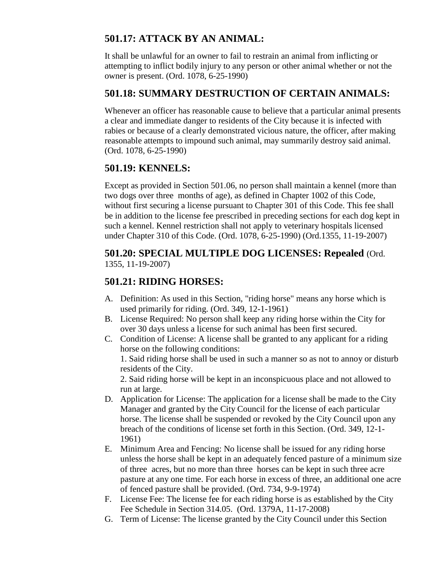## **501.17: ATTACK BY AN ANIMAL:**

It shall be unlawful for an owner to fail to restrain an animal from inflicting or attempting to inflict bodily injury to any person or other animal whether or not the owner is present. (Ord. 1078, 6-25-1990)

### **501.18: SUMMARY DESTRUCTION OF CERTAIN ANIMALS:**

Whenever an officer has reasonable cause to believe that a particular animal presents a clear and immediate danger to residents of the City because it is infected with rabies or because of a clearly demonstrated vicious nature, the officer, after making reasonable attempts to impound such animal, may summarily destroy said animal. (Ord. 1078, 6-25-1990)

## **501.19: KENNELS:**

Except as provided in Section 501.06, no person shall maintain a kennel (more than two dogs over three months of age), as defined in Chapter 1002 of this Code, without first securing a license pursuant to Chapter 301 of this Code. This fee shall be in addition to the license fee prescribed in preceding sections for each dog kept in such a kennel. Kennel restriction shall not apply to veterinary hospitals licensed under Chapter 310 of this Code. (Ord. 1078, 6-25-1990) (Ord.1355, 11-19-2007)

#### **501.20: SPECIAL MULTIPLE DOG LICENSES: Repealed** (Ord. 1355, 11-19-2007)

## **501.21: RIDING HORSES:**

- A. Definition: As used in this Section, "riding horse" means any horse which is used primarily for riding. (Ord. 349, 12-1-1961)
- B. License Required: No person shall keep any riding horse within the City for over 30 days unless a license for such animal has been first secured.
- C. Condition of License: A license shall be granted to any applicant for a riding horse on the following conditions:

1. Said riding horse shall be used in such a manner so as not to annoy or disturb residents of the City.

2. Said riding horse will be kept in an inconspicuous place and not allowed to run at large.

- D. Application for License: The application for a license shall be made to the City Manager and granted by the City Council for the license of each particular horse. The license shall be suspended or revoked by the City Council upon any breach of the conditions of license set forth in this Section. (Ord. 349, 12-1- 1961)
- E. Minimum Area and Fencing: No license shall be issued for any riding horse unless the horse shall be kept in an adequately fenced pasture of a minimum size of three acres, but no more than three horses can be kept in such three acre pasture at any one time. For each horse in excess of three, an additional one acre of fenced pasture shall be provided. (Ord. 734, 9-9-1974)
- F. License Fee: The license fee for each riding horse is as established by the City Fee Schedule in Section 314.05. (Ord. 1379A, 11-17-2008)
- G. Term of License: The license granted by the City Council under this Section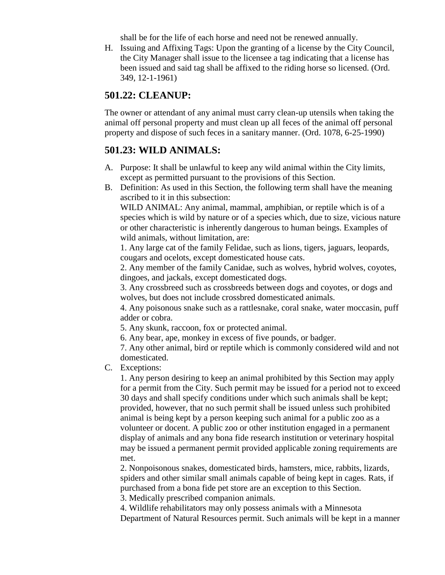shall be for the life of each horse and need not be renewed annually.

H. Issuing and Affixing Tags: Upon the granting of a license by the City Council, the City Manager shall issue to the licensee a tag indicating that a license has been issued and said tag shall be affixed to the riding horse so licensed. (Ord. 349, 12-1-1961)

#### **501.22: CLEANUP:**

The owner or attendant of any animal must carry clean-up utensils when taking the animal off personal property and must clean up all feces of the animal off personal property and dispose of such feces in a sanitary manner. (Ord. 1078, 6-25-1990)

#### **501.23: WILD ANIMALS:**

- A. Purpose: It shall be unlawful to keep any wild animal within the City limits, except as permitted pursuant to the provisions of this Section.
- B. Definition: As used in this Section, the following term shall have the meaning ascribed to it in this subsection:

WILD ANIMAL: Any animal, mammal, amphibian, or reptile which is of a species which is wild by nature or of a species which, due to size, vicious nature or other characteristic is inherently dangerous to human beings. Examples of wild animals, without limitation, are:

1. Any large cat of the family Felidae, such as lions, tigers, jaguars, leopards, cougars and ocelots, except domesticated house cats.

2. Any member of the family Canidae, such as wolves, hybrid wolves, coyotes, dingoes, and jackals, except domesticated dogs.

3. Any crossbreed such as crossbreeds between dogs and coyotes, or dogs and wolves, but does not include crossbred domesticated animals.

4. Any poisonous snake such as a rattlesnake, coral snake, water moccasin, puff adder or cobra.

5. Any skunk, raccoon, fox or protected animal.

6. Any bear, ape, monkey in excess of five pounds, or badger.

7. Any other animal, bird or reptile which is commonly considered wild and not domesticated.

C. Exceptions:

1. Any person desiring to keep an animal prohibited by this Section may apply for a permit from the City. Such permit may be issued for a period not to exceed 30 days and shall specify conditions under which such animals shall be kept; provided, however, that no such permit shall be issued unless such prohibited animal is being kept by a person keeping such animal for a public zoo as a volunteer or docent. A public zoo or other institution engaged in a permanent display of animals and any bona fide research institution or veterinary hospital may be issued a permanent permit provided applicable zoning requirements are met.

2. Nonpoisonous snakes, domesticated birds, hamsters, mice, rabbits, lizards, spiders and other similar small animals capable of being kept in cages. Rats, if purchased from a bona fide pet store are an exception to this Section.

3. Medically prescribed companion animals.

4. Wildlife rehabilitators may only possess animals with a Minnesota Department of Natural Resources permit. Such animals will be kept in a manner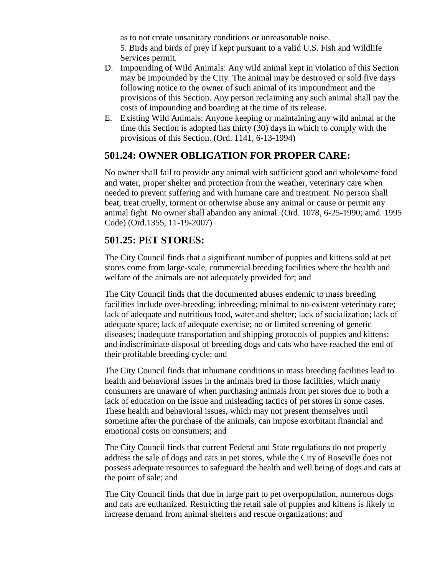as to not create unsanitary conditions or unreasonable noise. 5. Birds and birds of prey if kept pursuant to a valid U.S. Fish and Wildlife Services permit.

- D. Impounding of Wild Animals: Any wild animal kept in violation of this Section may be impounded by the City. The animal may be destroyed or sold five days following notice to the owner of such animal of its impoundment and the provisions of this Section. Any person reclaiming any such animal shall pay the costs of impounding and boarding at the time of its release.
- E. Existing Wild Animals: Anyone keeping or maintaining any wild animal at the time this Section is adopted has thirty (30) days in which to comply with the provisions of this Section. (Ord. 1141, 6-13-1994)

#### **501.24: OWNER OBLIGATION FOR PROPER CARE:**

No owner shall fail to provide any animal with sufficient good and wholesome food and water, proper shelter and protection from the weather, veterinary care when needed to prevent suffering and with humane care and treatment. No person shall beat, treat cruelly, torment or otherwise abuse any animal or cause or permit any animal fight. No owner shall abandon any animal. (Ord. 1078, 6-25-1990; amd. 1995 Code) (Ord.1355, 11-19-2007)

#### **501.25: PET STORES:**

The City Council finds that a significant number of puppies and kittens sold at pet stores come from large-scale, commercial breeding facilities where the health and welfare of the animals are not adequately provided for; and

The City Council finds that the documented abuses endemic to mass breeding facilities include over-breeding; inbreeding; minimal to no-existent veterinary care; lack of adequate and nutritious food, water and shelter; lack of socialization; lack of adequate space; lack of adequate exercise; no or limited screening of genetic diseases; inadequate transportation and shipping protocols of puppies and kittens; and indiscriminate disposal of breeding dogs and cats who have reached the end of their profitable breeding cycle; and

The City Council finds that inhumane conditions in mass breeding facilities lead to health and behavioral issues in the animals bred in those facilities, which many consumers are unaware of when purchasing animals from pet stores due to both a lack of education on the issue and misleading tactics of pet stores in some cases. These health and behavioral issues, which may not present themselves until sometime after the purchase of the animals, can impose exorbitant financial and emotional costs on consumers; and

The City Council finds that current Federal and State regulations do not properly address the sale of dogs and cats in pet stores, while the City of Roseville does not possess adequate resources to safeguard the health and well being of dogs and cats at the point of sale; and

The City Council finds that due in large part to pet overpopulation, numerous dogs and cats are euthanized. Restricting the retail sale of puppies and kittens is likely to increase demand from animal shelters and rescue organizations; and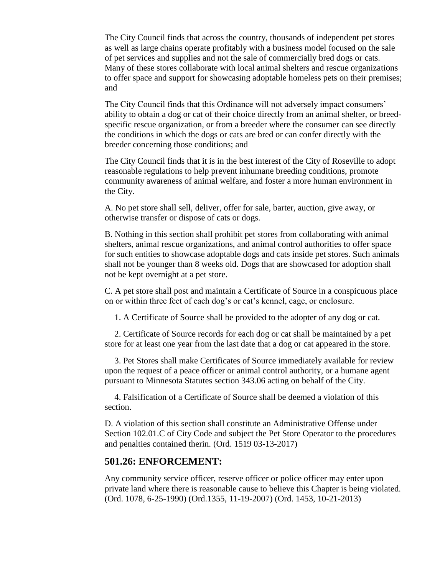The City Council finds that across the country, thousands of independent pet stores as well as large chains operate profitably with a business model focused on the sale of pet services and supplies and not the sale of commercially bred dogs or cats. Many of these stores collaborate with local animal shelters and rescue organizations to offer space and support for showcasing adoptable homeless pets on their premises; and

The City Council finds that this Ordinance will not adversely impact consumers' ability to obtain a dog or cat of their choice directly from an animal shelter, or breedspecific rescue organization, or from a breeder where the consumer can see directly the conditions in which the dogs or cats are bred or can confer directly with the breeder concerning those conditions; and

The City Council finds that it is in the best interest of the City of Roseville to adopt reasonable regulations to help prevent inhumane breeding conditions, promote community awareness of animal welfare, and foster a more human environment in the City.

A. No pet store shall sell, deliver, offer for sale, barter, auction, give away, or otherwise transfer or dispose of cats or dogs.

B. Nothing in this section shall prohibit pet stores from collaborating with animal shelters, animal rescue organizations, and animal control authorities to offer space for such entities to showcase adoptable dogs and cats inside pet stores. Such animals shall not be younger than 8 weeks old. Dogs that are showcased for adoption shall not be kept overnight at a pet store.

C. A pet store shall post and maintain a Certificate of Source in a conspicuous place on or within three feet of each dog's or cat's kennel, cage, or enclosure.

1. A Certificate of Source shall be provided to the adopter of any dog or cat.

2. Certificate of Source records for each dog or cat shall be maintained by a pet store for at least one year from the last date that a dog or cat appeared in the store.

3. Pet Stores shall make Certificates of Source immediately available for review upon the request of a peace officer or animal control authority, or a humane agent pursuant to Minnesota Statutes section 343.06 acting on behalf of the City.

4. Falsification of a Certificate of Source shall be deemed a violation of this section.

D. A violation of this section shall constitute an Administrative Offense under Section 102.01.C of City Code and subject the Pet Store Operator to the procedures and penalties contained therin. (Ord. 1519 03-13-2017)

#### **501.26: ENFORCEMENT:**

Any community service officer, reserve officer or police officer may enter upon private land where there is reasonable cause to believe this Chapter is being violated. (Ord. 1078, 6-25-1990) (Ord.1355, 11-19-2007) (Ord. 1453, 10-21-2013)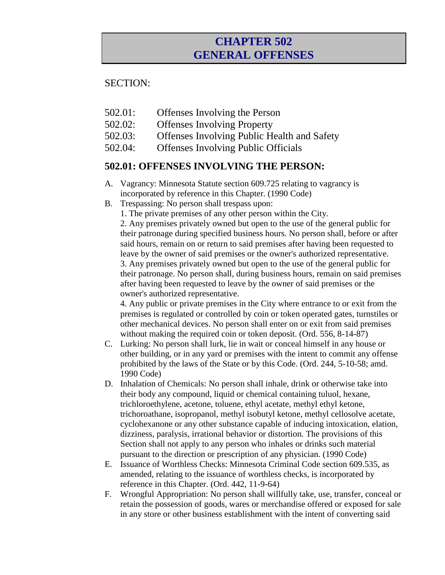## **CHAPTER 502 GENERAL OFFENSES**

#### SECTION:

- 502.01: Offenses Involving the Person
- 502.02: Offenses Involving Property
- 502.03: Offenses Involving Public Health and Safety
- 502.04: Offenses Involving Public Officials

### **502.01: OFFENSES INVOLVING THE PERSON:**

- A. Vagrancy: Minnesota Statute section 609.725 relating to vagrancy is incorporated by reference in this Chapter. (1990 Code)
- B. Trespassing: No person shall trespass upon:
	- 1. The private premises of any other person within the City.

2. Any premises privately owned but open to the use of the general public for their patronage during specified business hours. No person shall, before or after said hours, remain on or return to said premises after having been requested to leave by the owner of said premises or the owner's authorized representative. 3. Any premises privately owned but open to the use of the general public for their patronage. No person shall, during business hours, remain on said premises after having been requested to leave by the owner of said premises or the owner's authorized representative.

4. Any public or private premises in the City where entrance to or exit from the premises is regulated or controlled by coin or token operated gates, turnstiles or other mechanical devices. No person shall enter on or exit from said premises without making the required coin or token deposit. (Ord. 556, 8-14-87)

- C. Lurking: No person shall lurk, lie in wait or conceal himself in any house or other building, or in any yard or premises with the intent to commit any offense prohibited by the laws of the State or by this Code. (Ord. 244, 5-10-58; amd. 1990 Code)
- D. Inhalation of Chemicals: No person shall inhale, drink or otherwise take into their body any compound, liquid or chemical containing tuluol, hexane, trichloroethylene, acetone, toluene, ethyl acetate, methyl ethyl ketone, trichoroathane, isopropanol, methyl isobutyl ketone, methyl cellosolve acetate, cyclohexanone or any other substance capable of inducing intoxication, elation, dizziness, paralysis, irrational behavior or distortion. The provisions of this Section shall not apply to any person who inhales or drinks such material pursuant to the direction or prescription of any physician. (1990 Code)
- E. Issuance of Worthless Checks: Minnesota Criminal Code section 609.535, as amended, relating to the issuance of worthless checks, is incorporated by reference in this Chapter. (Ord. 442, 11-9-64)
- F. Wrongful Appropriation: No person shall willfully take, use, transfer, conceal or retain the possession of goods, wares or merchandise offered or exposed for sale in any store or other business establishment with the intent of converting said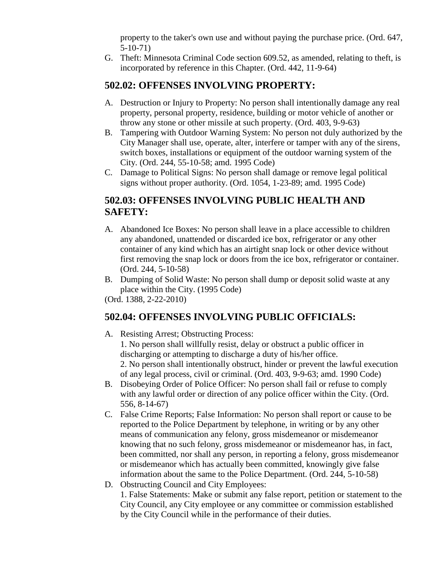property to the taker's own use and without paying the purchase price. (Ord. 647, 5-10-71)

G. Theft: Minnesota Criminal Code section 609.52, as amended, relating to theft, is incorporated by reference in this Chapter. (Ord. 442, 11-9-64)

## **502.02: OFFENSES INVOLVING PROPERTY:**

- A. Destruction or Injury to Property: No person shall intentionally damage any real property, personal property, residence, building or motor vehicle of another or throw any stone or other missile at such property. (Ord. 403, 9-9-63)
- B. Tampering with Outdoor Warning System: No person not duly authorized by the City Manager shall use, operate, alter, interfere or tamper with any of the sirens, switch boxes, installations or equipment of the outdoor warning system of the City. (Ord. 244, 55-10-58; amd. 1995 Code)
- C. Damage to Political Signs: No person shall damage or remove legal political signs without proper authority. (Ord. 1054, 1-23-89; amd. 1995 Code)

## **502.03: OFFENSES INVOLVING PUBLIC HEALTH AND SAFETY:**

- A. Abandoned Ice Boxes: No person shall leave in a place accessible to children any abandoned, unattended or discarded ice box, refrigerator or any other container of any kind which has an airtight snap lock or other device without first removing the snap lock or doors from the ice box, refrigerator or container. (Ord. 244, 5-10-58)
- B. Dumping of Solid Waste: No person shall dump or deposit solid waste at any place within the City. (1995 Code)

(Ord. 1388, 2-22-2010)

## **502.04: OFFENSES INVOLVING PUBLIC OFFICIALS:**

- A. Resisting Arrest; Obstructing Process:
	- 1. No person shall willfully resist, delay or obstruct a public officer in discharging or attempting to discharge a duty of his/her office. 2. No person shall intentionally obstruct, hinder or prevent the lawful execution of any legal process, civil or criminal. (Ord. 403, 9-9-63; amd. 1990 Code)
- B. Disobeying Order of Police Officer: No person shall fail or refuse to comply with any lawful order or direction of any police officer within the City. (Ord. 556, 8-14-67)
- C. False Crime Reports; False Information: No person shall report or cause to be reported to the Police Department by telephone, in writing or by any other means of communication any felony, gross misdemeanor or misdemeanor knowing that no such felony, gross misdemeanor or misdemeanor has, in fact, been committed, nor shall any person, in reporting a felony, gross misdemeanor or misdemeanor which has actually been committed, knowingly give false information about the same to the Police Department. (Ord. 244, 5-10-58)
- D. Obstructing Council and City Employees:

1. False Statements: Make or submit any false report, petition or statement to the City Council, any City employee or any committee or commission established by the City Council while in the performance of their duties.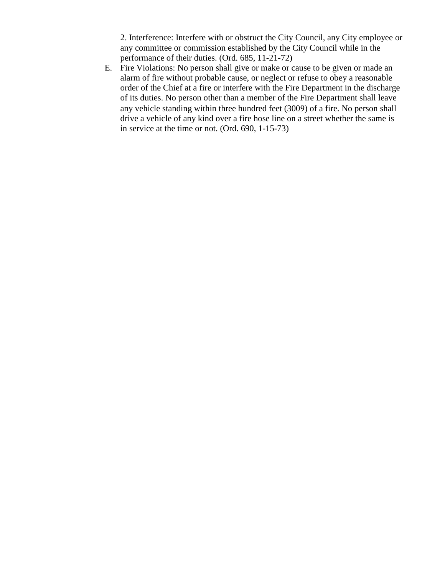2. Interference: Interfere with or obstruct the City Council, any City employee or any committee or commission established by the City Council while in the performance of their duties. (Ord. 685, 11-21-72)

E. Fire Violations: No person shall give or make or cause to be given or made an alarm of fire without probable cause, or neglect or refuse to obey a reasonable order of the Chief at a fire or interfere with the Fire Department in the discharge of its duties. No person other than a member of the Fire Department shall leave any vehicle standing within three hundred feet (3009) of a fire. No person shall drive a vehicle of any kind over a fire hose line on a street whether the same is in service at the time or not. (Ord. 690, 1-15-73)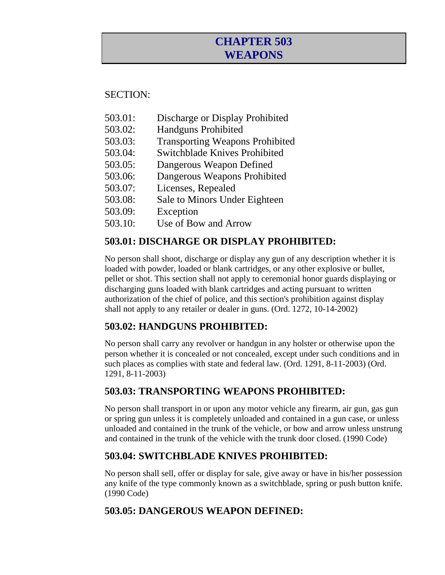## **CHAPTER 503 WEAPONS**

## SECTION:

- 503.01: Discharge or Display Prohibited
- 503.02: Handguns Prohibited
- 503.03: Transporting Weapons Prohibited
- 503.04: Switchblade Knives Prohibited
- 503.05: Dangerous Weapon Defined
- 503.06: Dangerous Weapons Prohibited
- 503.07: Licenses, Repealed
- 503.08: Sale to Minors Under Eighteen
- 503.09: Exception
- 503.10: Use of Bow and Arrow

## **503.01: DISCHARGE OR DISPLAY PROHIBITED:**

No person shall shoot, discharge or display any gun of any description whether it is loaded with powder, loaded or blank cartridges, or any other explosive or bullet, pellet or shot. This section shall not apply to ceremonial honor guards displaying or discharging guns loaded with blank cartridges and acting pursuant to written authorization of the chief of police, and this section's prohibition against display shall not apply to any retailer or dealer in guns. (Ord. 1272, 10-14-2002)

## **503.02: HANDGUNS PROHIBITED:**

No person shall carry any revolver or handgun in any holster or otherwise upon the person whether it is concealed or not concealed, except under such conditions and in such places as complies with state and federal law. (Ord. 1291, 8-11-2003) (Ord. 1291, 8-11-2003)

## **503.03: TRANSPORTING WEAPONS PROHIBITED:**

No person shall transport in or upon any motor vehicle any firearm, air gun, gas gun or spring gun unless it is completely unloaded and contained in a gun case, or unless unloaded and contained in the trunk of the vehicle, or bow and arrow unless unstrung and contained in the trunk of the vehicle with the trunk door closed. (1990 Code)

## **503.04: SWITCHBLADE KNIVES PROHIBITED:**

No person shall sell, offer or display for sale, give away or have in his/her possession any knife of the type commonly known as a switchblade, spring or push button knife. (1990 Code)

## **503.05: DANGEROUS WEAPON DEFINED:**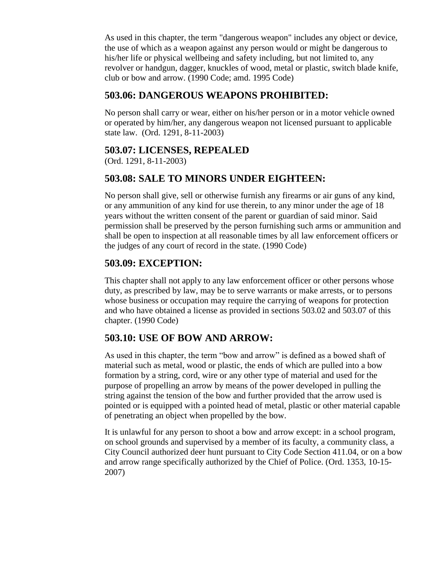As used in this chapter, the term "dangerous weapon" includes any object or device, the use of which as a weapon against any person would or might be dangerous to his/her life or physical wellbeing and safety including, but not limited to, any revolver or handgun, dagger, knuckles of wood, metal or plastic, switch blade knife, club or bow and arrow. (1990 Code; amd. 1995 Code)

#### **503.06: DANGEROUS WEAPONS PROHIBITED:**

No person shall carry or wear, either on his/her person or in a motor vehicle owned or operated by him/her, any dangerous weapon not licensed pursuant to applicable state law. (Ord. 1291, 8-11-2003)

#### **503.07: LICENSES, REPEALED**

(Ord. 1291, 8-11-2003)

## **503.08: SALE TO MINORS UNDER EIGHTEEN:**

No person shall give, sell or otherwise furnish any firearms or air guns of any kind, or any ammunition of any kind for use therein, to any minor under the age of 18 years without the written consent of the parent or guardian of said minor. Said permission shall be preserved by the person furnishing such arms or ammunition and shall be open to inspection at all reasonable times by all law enforcement officers or the judges of any court of record in the state. (1990 Code)

## **503.09: EXCEPTION:**

This chapter shall not apply to any law enforcement officer or other persons whose duty, as prescribed by law, may be to serve warrants or make arrests, or to persons whose business or occupation may require the carrying of weapons for protection and who have obtained a license as provided in sections 503.02 and 503.07 of this chapter. (1990 Code)

### **503.10: USE OF BOW AND ARROW:**

As used in this chapter, the term "bow and arrow" is defined as a bowed shaft of material such as metal, wood or plastic, the ends of which are pulled into a bow formation by a string, cord, wire or any other type of material and used for the purpose of propelling an arrow by means of the power developed in pulling the string against the tension of the bow and further provided that the arrow used is pointed or is equipped with a pointed head of metal, plastic or other material capable of penetrating an object when propelled by the bow.

It is unlawful for any person to shoot a bow and arrow except: in a school program, on school grounds and supervised by a member of its faculty, a community class, a City Council authorized deer hunt pursuant to City Code Section 411.04, or on a bow and arrow range specifically authorized by the Chief of Police. (Ord. 1353, 10-15- 2007)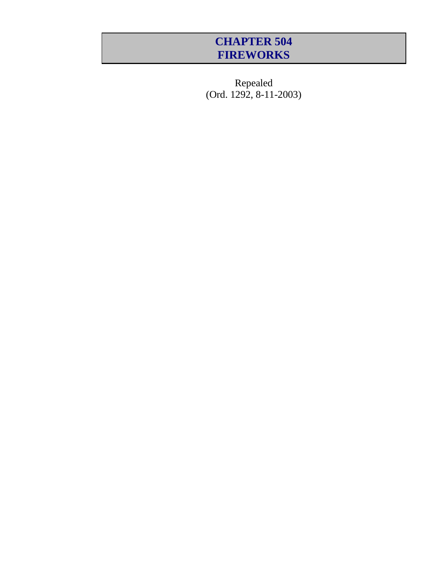## **CHAPTER 504 FIREWORKS**

Repealed (Ord. 1292, 8-11-2003)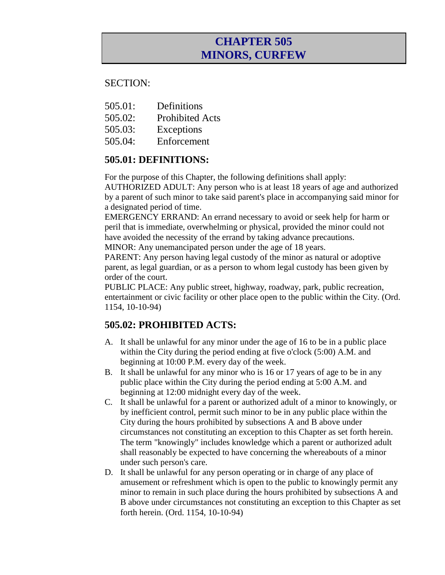## **CHAPTER 505 MINORS, CURFEW**

#### SECTION:

- 505.01: Definitions
- 505.02: Prohibited Acts
- 505.03: Exceptions
- 505.04: Enforcement

## **505.01: DEFINITIONS:**

For the purpose of this Chapter, the following definitions shall apply:

AUTHORIZED ADULT: Any person who is at least 18 years of age and authorized by a parent of such minor to take said parent's place in accompanying said minor for a designated period of time.

EMERGENCY ERRAND: An errand necessary to avoid or seek help for harm or peril that is immediate, overwhelming or physical, provided the minor could not have avoided the necessity of the errand by taking advance precautions. MINOR: Any unemancipated person under the age of 18 years.

PARENT: Any person having legal custody of the minor as natural or adoptive parent, as legal guardian, or as a person to whom legal custody has been given by order of the court.

PUBLIC PLACE: Any public street, highway, roadway, park, public recreation, entertainment or civic facility or other place open to the public within the City. (Ord. 1154, 10-10-94)

## **505.02: PROHIBITED ACTS:**

- A. It shall be unlawful for any minor under the age of 16 to be in a public place within the City during the period ending at five o'clock (5:00) A.M. and beginning at 10:00 P.M. every day of the week.
- B. It shall be unlawful for any minor who is 16 or 17 years of age to be in any public place within the City during the period ending at 5:00 A.M. and beginning at 12:00 midnight every day of the week.
- C. It shall be unlawful for a parent or authorized adult of a minor to knowingly, or by inefficient control, permit such minor to be in any public place within the City during the hours prohibited by subsections A and B above under circumstances not constituting an exception to this Chapter as set forth herein. The term "knowingly" includes knowledge which a parent or authorized adult shall reasonably be expected to have concerning the whereabouts of a minor under such person's care.
- D. It shall be unlawful for any person operating or in charge of any place of amusement or refreshment which is open to the public to knowingly permit any minor to remain in such place during the hours prohibited by subsections A and B above under circumstances not constituting an exception to this Chapter as set forth herein. (Ord. 1154, 10-10-94)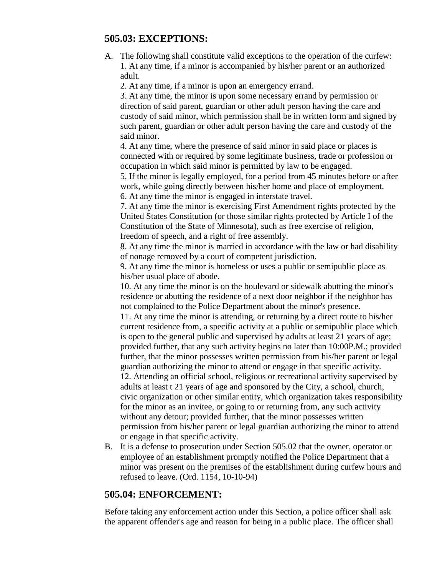#### **505.03: EXCEPTIONS:**

A. The following shall constitute valid exceptions to the operation of the curfew: 1. At any time, if a minor is accompanied by his/her parent or an authorized adult.

2. At any time, if a minor is upon an emergency errand.

3. At any time, the minor is upon some necessary errand by permission or direction of said parent, guardian or other adult person having the care and custody of said minor, which permission shall be in written form and signed by such parent, guardian or other adult person having the care and custody of the said minor.

4. At any time, where the presence of said minor in said place or places is connected with or required by some legitimate business, trade or profession or occupation in which said minor is permitted by law to be engaged.

5. If the minor is legally employed, for a period from 45 minutes before or after work, while going directly between his/her home and place of employment. 6. At any time the minor is engaged in interstate travel.

7. At any time the minor is exercising First Amendment rights protected by the United States Constitution (or those similar rights protected by Article I of the Constitution of the State of Minnesota), such as free exercise of religion, freedom of speech, and a right of free assembly.

8. At any time the minor is married in accordance with the law or had disability of nonage removed by a court of competent jurisdiction.

9. At any time the minor is homeless or uses a public or semipublic place as his/her usual place of abode.

10. At any time the minor is on the boulevard or sidewalk abutting the minor's residence or abutting the residence of a next door neighbor if the neighbor has not complained to the Police Department about the minor's presence.

11. At any time the minor is attending, or returning by a direct route to his/her current residence from, a specific activity at a public or semipublic place which is open to the general public and supervised by adults at least 21 years of age; provided further, that any such activity begins no later than 10:00P.M.; provided further, that the minor possesses written permission from his/her parent or legal guardian authorizing the minor to attend or engage in that specific activity. 12. Attending an official school, religious or recreational activity supervised by adults at least t 21 years of age and sponsored by the City, a school, church, civic organization or other similar entity, which organization takes responsibility for the minor as an invitee, or going to or returning from, any such activity

without any detour; provided further, that the minor possesses written permission from his/her parent or legal guardian authorizing the minor to attend or engage in that specific activity.

B. It is a defense to prosecution under Section 505.02 that the owner, operator or employee of an establishment promptly notified the Police Department that a minor was present on the premises of the establishment during curfew hours and refused to leave. (Ord. 1154, 10-10-94)

### **505.04: ENFORCEMENT:**

Before taking any enforcement action under this Section, a police officer shall ask the apparent offender's age and reason for being in a public place. The officer shall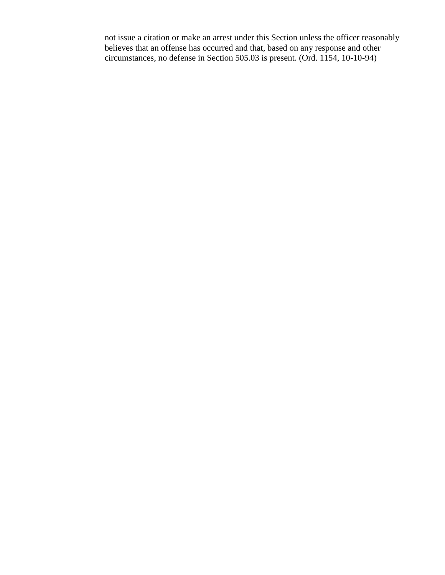not issue a citation or make an arrest under this Section unless the officer reasonably believes that an offense has occurred and that, based on any response and other circumstances, no defense in Section 505.03 is present. (Ord. 1154, 10-10-94)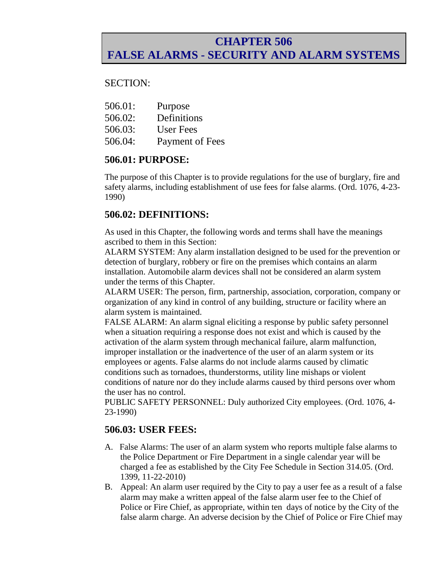## **CHAPTER 506 FALSE ALARMS - SECURITY AND ALARM SYSTEMS**

#### SECTION:

- 506.01: Purpose
- 506.02: Definitions
- 506.03: User Fees
- 506.04: Payment of Fees

#### **506.01: PURPOSE:**

The purpose of this Chapter is to provide regulations for the use of burglary, fire and safety alarms, including establishment of use fees for false alarms. (Ord. 1076, 4-23- 1990)

### **506.02: DEFINITIONS:**

As used in this Chapter, the following words and terms shall have the meanings ascribed to them in this Section:

ALARM SYSTEM: Any alarm installation designed to be used for the prevention or detection of burglary, robbery or fire on the premises which contains an alarm installation. Automobile alarm devices shall not be considered an alarm system under the terms of this Chapter.

ALARM USER: The person, firm, partnership, association, corporation, company or organization of any kind in control of any building, structure or facility where an alarm system is maintained.

FALSE ALARM: An alarm signal eliciting a response by public safety personnel when a situation requiring a response does not exist and which is caused by the activation of the alarm system through mechanical failure, alarm malfunction, improper installation or the inadvertence of the user of an alarm system or its employees or agents. False alarms do not include alarms caused by climatic conditions such as tornadoes, thunderstorms, utility line mishaps or violent conditions of nature nor do they include alarms caused by third persons over whom the user has no control.

PUBLIC SAFETY PERSONNEL: Duly authorized City employees. (Ord. 1076, 4- 23-1990)

### **506.03: USER FEES:**

- A. False Alarms: The user of an alarm system who reports multiple false alarms to the Police Department or Fire Department in a single calendar year will be charged a fee as established by the City Fee Schedule in Section 314.05. (Ord. 1399, 11-22-2010)
- B. Appeal: An alarm user required by the City to pay a user fee as a result of a false alarm may make a written appeal of the false alarm user fee to the Chief of Police or Fire Chief, as appropriate, within ten days of notice by the City of the false alarm charge. An adverse decision by the Chief of Police or Fire Chief may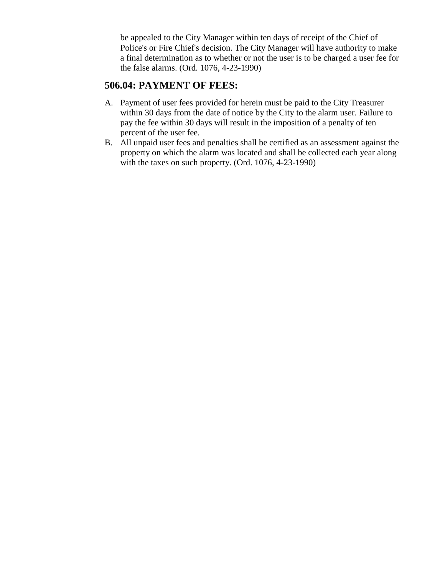be appealed to the City Manager within ten days of receipt of the Chief of Police's or Fire Chief's decision. The City Manager will have authority to make a final determination as to whether or not the user is to be charged a user fee for the false alarms. (Ord. 1076, 4-23-1990)

## **506.04: PAYMENT OF FEES:**

- A. Payment of user fees provided for herein must be paid to the City Treasurer within 30 days from the date of notice by the City to the alarm user. Failure to pay the fee within 30 days will result in the imposition of a penalty of ten percent of the user fee.
- B. All unpaid user fees and penalties shall be certified as an assessment against the property on which the alarm was located and shall be collected each year along with the taxes on such property. (Ord. 1076, 4-23-1990)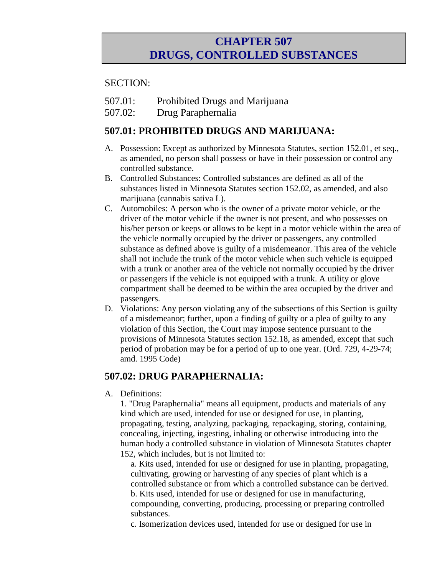## **CHAPTER 507 DRUGS, CONTROLLED SUBSTANCES**

#### SECTION:

- 507.01: Prohibited Drugs and Marijuana
- 507.02: Drug Paraphernalia

### **507.01: PROHIBITED DRUGS AND MARIJUANA:**

- A. Possession: Except as authorized by Minnesota Statutes, section 152.01, et seq., as amended, no person shall possess or have in their possession or control any controlled substance.
- B. Controlled Substances: Controlled substances are defined as all of the substances listed in Minnesota Statutes section 152.02, as amended, and also marijuana (cannabis sativa L).
- C. Automobiles: A person who is the owner of a private motor vehicle, or the driver of the motor vehicle if the owner is not present, and who possesses on his/her person or keeps or allows to be kept in a motor vehicle within the area of the vehicle normally occupied by the driver or passengers, any controlled substance as defined above is guilty of a misdemeanor. This area of the vehicle shall not include the trunk of the motor vehicle when such vehicle is equipped with a trunk or another area of the vehicle not normally occupied by the driver or passengers if the vehicle is not equipped with a trunk. A utility or glove compartment shall be deemed to be within the area occupied by the driver and passengers.
- D. Violations: Any person violating any of the subsections of this Section is guilty of a misdemeanor; further, upon a finding of guilty or a plea of guilty to any violation of this Section, the Court may impose sentence pursuant to the provisions of Minnesota Statutes section 152.18, as amended, except that such period of probation may be for a period of up to one year. (Ord. 729, 4-29-74; amd. 1995 Code)

### **507.02: DRUG PARAPHERNALIA:**

A. Definitions:

1. "Drug Paraphernalia" means all equipment, products and materials of any kind which are used, intended for use or designed for use, in planting, propagating, testing, analyzing, packaging, repackaging, storing, containing, concealing, injecting, ingesting, inhaling or otherwise introducing into the human body a controlled substance in violation of Minnesota Statutes chapter 152, which includes, but is not limited to:

a. Kits used, intended for use or designed for use in planting, propagating, cultivating, growing or harvesting of any species of plant which is a controlled substance or from which a controlled substance can be derived. b. Kits used, intended for use or designed for use in manufacturing, compounding, converting, producing, processing or preparing controlled substances.

c. Isomerization devices used, intended for use or designed for use in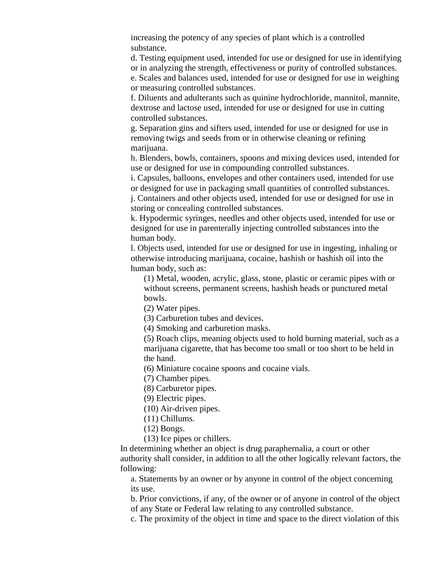increasing the potency of any species of plant which is a controlled substance.

d. Testing equipment used, intended for use or designed for use in identifying or in analyzing the strength, effectiveness or purity of controlled substances.

e. Scales and balances used, intended for use or designed for use in weighing or measuring controlled substances.

f. Diluents and adulterants such as quinine hydrochloride, mannitol, mannite, dextrose and lactose used, intended for use or designed for use in cutting controlled substances.

g. Separation gins and sifters used, intended for use or designed for use in removing twigs and seeds from or in otherwise cleaning or refining marijuana.

h. Blenders, bowls, containers, spoons and mixing devices used, intended for use or designed for use in compounding controlled substances.

i. Capsules, balloons, envelopes and other containers used, intended for use or designed for use in packaging small quantities of controlled substances.

j. Containers and other objects used, intended for use or designed for use in storing or concealing controlled substances.

k. Hypodermic syringes, needles and other objects used, intended for use or designed for use in parenterally injecting controlled substances into the human body.

l. Objects used, intended for use or designed for use in ingesting, inhaling or otherwise introducing marijuana, cocaine, hashish or hashish oil into the human body, such as:

(1) Metal, wooden, acrylic, glass, stone, plastic or ceramic pipes with or without screens, permanent screens, hashish heads or punctured metal bowls.

(2) Water pipes.

(3) Carburetion tubes and devices.

(4) Smoking and carburetion masks.

(5) Roach clips, meaning objects used to hold burning material, such as a marijuana cigarette, that has become too small or too short to be held in the hand.

(6) Miniature cocaine spoons and cocaine vials.

(7) Chamber pipes.

(8) Carburetor pipes.

(9) Electric pipes.

(10) Air-driven pipes.

(11) Chillums.

(12) Bongs.

(13) Ice pipes or chillers.

In determining whether an object is drug paraphernalia, a court or other authority shall consider, in addition to all the other logically relevant factors, the following:

a. Statements by an owner or by anyone in control of the object concerning its use.

b. Prior convictions, if any, of the owner or of anyone in control of the object of any State or Federal law relating to any controlled substance.

c. The proximity of the object in time and space to the direct violation of this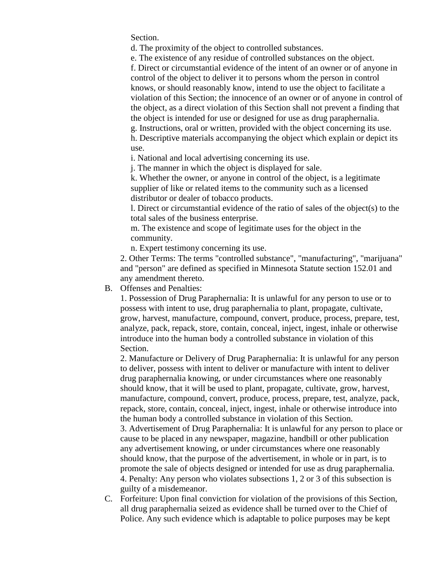Section.

d. The proximity of the object to controlled substances.

e. The existence of any residue of controlled substances on the object.

f. Direct or circumstantial evidence of the intent of an owner or of anyone in control of the object to deliver it to persons whom the person in control knows, or should reasonably know, intend to use the object to facilitate a violation of this Section; the innocence of an owner or of anyone in control of the object, as a direct violation of this Section shall not prevent a finding that the object is intended for use or designed for use as drug paraphernalia. g. Instructions, oral or written, provided with the object concerning its use.

h. Descriptive materials accompanying the object which explain or depict its use.

i. National and local advertising concerning its use.

j. The manner in which the object is displayed for sale.

k. Whether the owner, or anyone in control of the object, is a legitimate supplier of like or related items to the community such as a licensed distributor or dealer of tobacco products.

l. Direct or circumstantial evidence of the ratio of sales of the object(s) to the total sales of the business enterprise.

m. The existence and scope of legitimate uses for the object in the community.

n. Expert testimony concerning its use.

2. Other Terms: The terms "controlled substance", "manufacturing", "marijuana" and "person" are defined as specified in Minnesota Statute section 152.01 and any amendment thereto.

#### B. Offenses and Penalties:

1. Possession of Drug Paraphernalia: It is unlawful for any person to use or to possess with intent to use, drug paraphernalia to plant, propagate, cultivate, grow, harvest, manufacture, compound, convert, produce, process, prepare, test, analyze, pack, repack, store, contain, conceal, inject, ingest, inhale or otherwise introduce into the human body a controlled substance in violation of this Section.

2. Manufacture or Delivery of Drug Paraphernalia: It is unlawful for any person to deliver, possess with intent to deliver or manufacture with intent to deliver drug paraphernalia knowing, or under circumstances where one reasonably should know, that it will be used to plant, propagate, cultivate, grow, harvest, manufacture, compound, convert, produce, process, prepare, test, analyze, pack, repack, store, contain, conceal, inject, ingest, inhale or otherwise introduce into the human body a controlled substance in violation of this Section.

3. Advertisement of Drug Paraphernalia: It is unlawful for any person to place or cause to be placed in any newspaper, magazine, handbill or other publication any advertisement knowing, or under circumstances where one reasonably should know, that the purpose of the advertisement, in whole or in part, is to promote the sale of objects designed or intended for use as drug paraphernalia. 4. Penalty: Any person who violates subsections 1, 2 or 3 of this subsection is guilty of a misdemeanor.

C. Forfeiture: Upon final conviction for violation of the provisions of this Section, all drug paraphernalia seized as evidence shall be turned over to the Chief of Police. Any such evidence which is adaptable to police purposes may be kept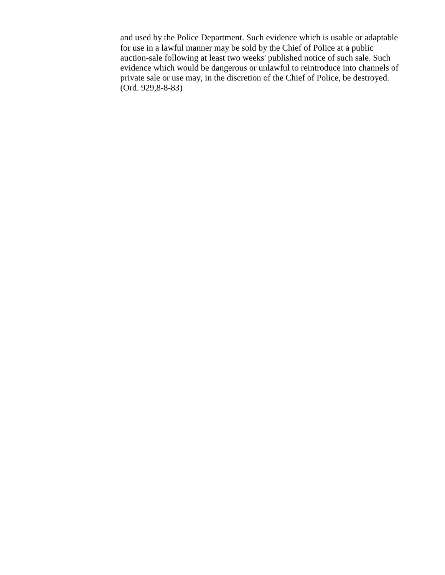and used by the Police Department. Such evidence which is usable or adaptable for use in a lawful manner may be sold by the Chief of Police at a public auction-sale following at least two weeks' published notice of such sale. Such evidence which would be dangerous or unlawful to reintroduce into channels of private sale or use may, in the discretion of the Chief of Police, be destroyed. (Ord. 929,8-8-83)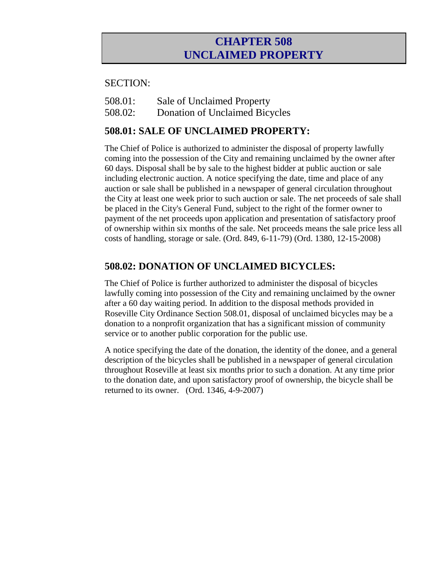## **CHAPTER 508 UNCLAIMED PROPERTY**

#### SECTION:

508.02: Donation of Unclaimed Bicycles

## **508.01: SALE OF UNCLAIMED PROPERTY:**

The Chief of Police is authorized to administer the disposal of property lawfully coming into the possession of the City and remaining unclaimed by the owner after 60 days. Disposal shall be by sale to the highest bidder at public auction or sale including electronic auction. A notice specifying the date, time and place of any auction or sale shall be published in a newspaper of general circulation throughout the City at least one week prior to such auction or sale. The net proceeds of sale shall be placed in the City's General Fund, subject to the right of the former owner to payment of the net proceeds upon application and presentation of satisfactory proof of ownership within six months of the sale. Net proceeds means the sale price less all costs of handling, storage or sale. (Ord. 849, 6-11-79) (Ord. 1380, 12-15-2008)

### **508.02: DONATION OF UNCLAIMED BICYCLES:**

The Chief of Police is further authorized to administer the disposal of bicycles lawfully coming into possession of the City and remaining unclaimed by the owner after a 60 day waiting period. In addition to the disposal methods provided in Roseville City Ordinance Section 508.01, disposal of unclaimed bicycles may be a donation to a nonprofit organization that has a significant mission of community service or to another public corporation for the public use.

A notice specifying the date of the donation, the identity of the donee, and a general description of the bicycles shall be published in a newspaper of general circulation throughout Roseville at least six months prior to such a donation. At any time prior to the donation date, and upon satisfactory proof of ownership, the bicycle shall be returned to its owner. (Ord. 1346, 4-9-2007)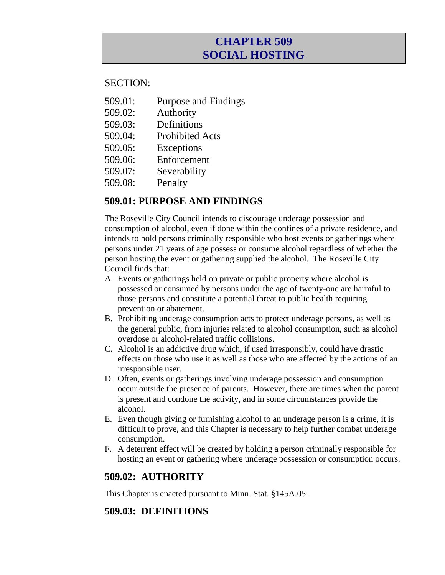## **CHAPTER 509 SOCIAL HOSTING**

#### SECTION:

- 509.01: Purpose and Findings
- 509.02: Authority
- 509.03: Definitions
- 509.04: Prohibited Acts
- 509.05: Exceptions
- 509.06: Enforcement
- 509.07: Severability
- 509.08: Penalty

#### **509.01: PURPOSE AND FINDINGS**

The Roseville City Council intends to discourage underage possession and consumption of alcohol, even if done within the confines of a private residence, and intends to hold persons criminally responsible who host events or gatherings where persons under 21 years of age possess or consume alcohol regardless of whether the person hosting the event or gathering supplied the alcohol. The Roseville City Council finds that:

- A. Events or gatherings held on private or public property where alcohol is possessed or consumed by persons under the age of twenty-one are harmful to those persons and constitute a potential threat to public health requiring prevention or abatement.
- B. Prohibiting underage consumption acts to protect underage persons, as well as the general public, from injuries related to alcohol consumption, such as alcohol overdose or alcohol-related traffic collisions.
- C. Alcohol is an addictive drug which, if used irresponsibly, could have drastic effects on those who use it as well as those who are affected by the actions of an irresponsible user.
- D. Often, events or gatherings involving underage possession and consumption occur outside the presence of parents. However, there are times when the parent is present and condone the activity, and in some circumstances provide the alcohol.
- E. Even though giving or furnishing alcohol to an underage person is a crime, it is difficult to prove, and this Chapter is necessary to help further combat underage consumption.
- F. A deterrent effect will be created by holding a person criminally responsible for hosting an event or gathering where underage possession or consumption occurs.

### **509.02: AUTHORITY**

This Chapter is enacted pursuant to Minn. Stat. §145A.05.

#### **509.03: DEFINITIONS**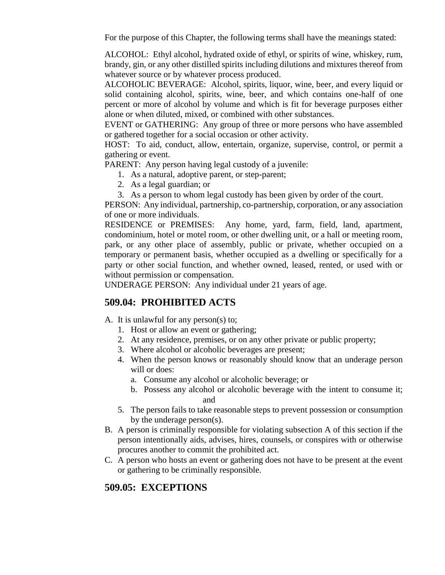For the purpose of this Chapter, the following terms shall have the meanings stated:

ALCOHOL: Ethyl alcohol, hydrated oxide of ethyl, or spirits of wine, whiskey, rum, brandy, gin, or any other distilled spirits including dilutions and mixtures thereof from whatever source or by whatever process produced.

ALCOHOLIC BEVERAGE: Alcohol, spirits, liquor, wine, beer, and every liquid or solid containing alcohol, spirits, wine, beer, and which contains one-half of one percent or more of alcohol by volume and which is fit for beverage purposes either alone or when diluted, mixed, or combined with other substances.

EVENT or GATHERING: Any group of three or more persons who have assembled or gathered together for a social occasion or other activity.

HOST: To aid, conduct, allow, entertain, organize, supervise, control, or permit a gathering or event.

PARENT: Any person having legal custody of a juvenile:

- 1. As a natural, adoptive parent, or step-parent;
- 2. As a legal guardian; or
- 3. As a person to whom legal custody has been given by order of the court.

PERSON: Any individual, partnership, co-partnership, corporation, or any association of one or more individuals.

RESIDENCE or PREMISES: Any home, yard, farm, field, land, apartment, condominium, hotel or motel room, or other dwelling unit, or a hall or meeting room, park, or any other place of assembly, public or private, whether occupied on a temporary or permanent basis, whether occupied as a dwelling or specifically for a party or other social function, and whether owned, leased, rented, or used with or without permission or compensation.

UNDERAGE PERSON: Any individual under 21 years of age.

#### **509.04: PROHIBITED ACTS**

#### A. It is unlawful for any person(s) to;

- 1. Host or allow an event or gathering;
- 2. At any residence, premises, or on any other private or public property;
- 3. Where alcohol or alcoholic beverages are present;
- 4. When the person knows or reasonably should know that an underage person will or does:
	- a. Consume any alcohol or alcoholic beverage; or
	- b. Possess any alcohol or alcoholic beverage with the intent to consume it; and
- 5. The person fails to take reasonable steps to prevent possession or consumption by the underage person(s).
- B. A person is criminally responsible for violating subsection A of this section if the person intentionally aids, advises, hires, counsels, or conspires with or otherwise procures another to commit the prohibited act.
- C. A person who hosts an event or gathering does not have to be present at the event or gathering to be criminally responsible.

#### **509.05: EXCEPTIONS**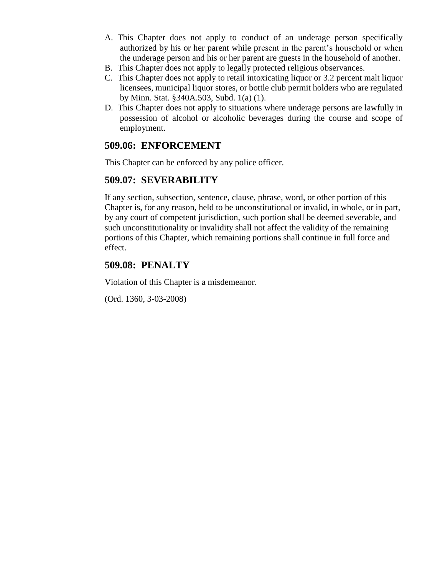- A. This Chapter does not apply to conduct of an underage person specifically authorized by his or her parent while present in the parent's household or when the underage person and his or her parent are guests in the household of another.
- B. This Chapter does not apply to legally protected religious observances.
- C. This Chapter does not apply to retail intoxicating liquor or 3.2 percent malt liquor licensees, municipal liquor stores, or bottle club permit holders who are regulated by Minn. Stat. §340A.503, Subd. 1(a) (1).
- D. This Chapter does not apply to situations where underage persons are lawfully in possession of alcohol or alcoholic beverages during the course and scope of employment.

### **509.06: ENFORCEMENT**

This Chapter can be enforced by any police officer.

#### **509.07: SEVERABILITY**

If any section, subsection, sentence, clause, phrase, word, or other portion of this Chapter is, for any reason, held to be unconstitutional or invalid, in whole, or in part, by any court of competent jurisdiction, such portion shall be deemed severable, and such unconstitutionality or invalidity shall not affect the validity of the remaining portions of this Chapter, which remaining portions shall continue in full force and effect.

#### **509.08: PENALTY**

Violation of this Chapter is a misdemeanor.

(Ord. 1360, 3-03-2008)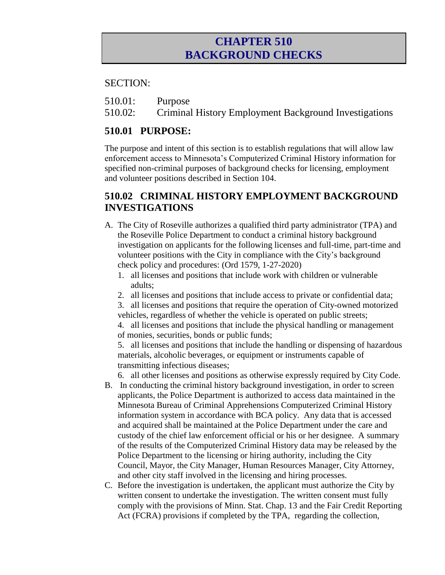## **CHAPTER 510 BACKGROUND CHECKS**

#### SECTION:

- 510.01: Purpose
- 510.02: Criminal History Employment Background Investigations

### **510.01 PURPOSE:**

The purpose and intent of this section is to establish regulations that will allow law enforcement access to Minnesota's Computerized Criminal History information for specified non-criminal purposes of background checks for licensing, employment and volunteer positions described in Section 104.

## **510.02 CRIMINAL HISTORY EMPLOYMENT BACKGROUND INVESTIGATIONS**

- A. The City of Roseville authorizes a qualified third party administrator (TPA) and the Roseville Police Department to conduct a criminal history background investigation on applicants for the following licenses and full-time, part-time and volunteer positions with the City in compliance with the City's background check policy and procedures: (Ord 1579, 1-27-2020)
	- 1. all licenses and positions that include work with children or vulnerable adults;
	- 2. all licenses and positions that include access to private or confidential data;
	- 3. all licenses and positions that require the operation of City-owned motorized vehicles, regardless of whether the vehicle is operated on public streets;

4. all licenses and positions that include the physical handling or management of monies, securities, bonds or public funds;

5. all licenses and positions that include the handling or dispensing of hazardous materials, alcoholic beverages, or equipment or instruments capable of transmitting infectious diseases;

6. all other licenses and positions as otherwise expressly required by City Code.

- B. In conducting the criminal history background investigation, in order to screen applicants, the Police Department is authorized to access data maintained in the Minnesota Bureau of Criminal Apprehensions Computerized Criminal History information system in accordance with BCA policy. Any data that is accessed and acquired shall be maintained at the Police Department under the care and custody of the chief law enforcement official or his or her designee. A summary of the results of the Computerized Criminal History data may be released by the Police Department to the licensing or hiring authority, including the City Council, Mayor, the City Manager, Human Resources Manager, City Attorney, and other city staff involved in the licensing and hiring processes.
- C. Before the investigation is undertaken, the applicant must authorize the City by written consent to undertake the investigation. The written consent must fully comply with the provisions of Minn. Stat. Chap. 13 and the Fair Credit Reporting Act (FCRA) provisions if completed by the TPA, regarding the collection,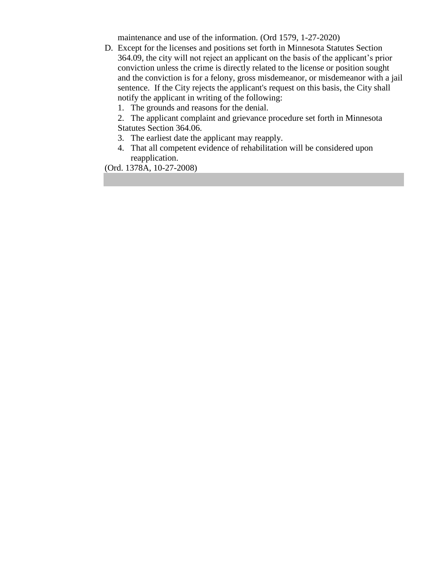maintenance and use of the information. (Ord 1579, 1-27-2020)

- D. Except for the licenses and positions set forth in Minnesota Statutes Section 364.09, the city will not reject an applicant on the basis of the applicant's prior conviction unless the crime is directly related to the license or position sought and the conviction is for a felony, gross misdemeanor, or misdemeanor with a jail sentence. If the City rejects the applicant's request on this basis, the City shall notify the applicant in writing of the following:
	- 1. The grounds and reasons for the denial.

2. The applicant complaint and grievance procedure set forth in Minnesota Statutes Section 364.06.

- 3. The earliest date the applicant may reapply.
- 4. That all competent evidence of rehabilitation will be considered upon reapplication.

(Ord. 1378A, 10-27-2008)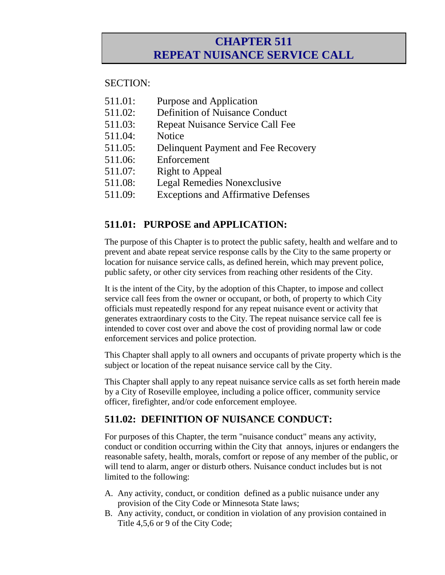## **CHAPTER 511 REPEAT NUISANCE SERVICE CALL**

#### SECTION:

- 511.01: Purpose and Application
- 511.02: Definition of Nuisance Conduct
- 511.03: Repeat Nuisance Service Call Fee
- 511.04: Notice
- 511.05: Delinquent Payment and Fee Recovery
- 511.06: Enforcement
- 511.07: Right to Appeal
- 511.08: Legal Remedies Nonexclusive
- 511.09: Exceptions and Affirmative Defenses

## **511.01: PURPOSE and APPLICATION:**

The purpose of this Chapter is to protect the public safety, health and welfare and to prevent and abate repeat service response calls by the City to the same property or location for nuisance service calls, as defined herein, which may prevent police, public safety, or other city services from reaching other residents of the City.

It is the intent of the City, by the adoption of this Chapter, to impose and collect service call fees from the owner or occupant, or both, of property to which City officials must repeatedly respond for any repeat nuisance event or activity that generates extraordinary costs to the City. The repeat nuisance service call fee is intended to cover cost over and above the cost of providing normal law or code enforcement services and police protection.

This Chapter shall apply to all owners and occupants of private property which is the subject or location of the repeat nuisance service call by the City.

This Chapter shall apply to any repeat nuisance service calls as set forth herein made by a City of Roseville employee, including a police officer, community service officer, firefighter, and/or code enforcement employee.

## **511.02: DEFINITION OF NUISANCE CONDUCT:**

For purposes of this Chapter, the term "nuisance conduct" means any activity, conduct or condition occurring within the City that annoys, injures or endangers the reasonable safety, health, morals, comfort or repose of any member of the public, or will tend to alarm, anger or disturb others. Nuisance conduct includes but is not limited to the following:

- A. Any activity, conduct, or condition defined as a public nuisance under any provision of the City Code or Minnesota State laws;
- B. Any activity, conduct, or condition in violation of any provision contained in Title 4,5,6 or 9 of the City Code;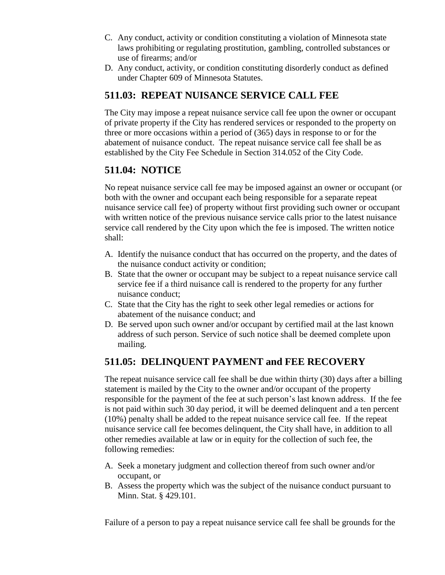- C. Any conduct, activity or condition constituting a violation of Minnesota state laws prohibiting or regulating prostitution, gambling, controlled substances or use of firearms; and/or
- D. Any conduct, activity, or condition constituting disorderly conduct as defined under Chapter 609 of Minnesota Statutes.

## **511.03: REPEAT NUISANCE SERVICE CALL FEE**

The City may impose a repeat nuisance service call fee upon the owner or occupant of private property if the City has rendered services or responded to the property on three or more occasions within a period of (365) days in response to or for the abatement of nuisance conduct. The repeat nuisance service call fee shall be as established by the City Fee Schedule in Section 314.052 of the City Code.

## **511.04: NOTICE**

No repeat nuisance service call fee may be imposed against an owner or occupant (or both with the owner and occupant each being responsible for a separate repeat nuisance service call fee) of property without first providing such owner or occupant with written notice of the previous nuisance service calls prior to the latest nuisance service call rendered by the City upon which the fee is imposed. The written notice shall:

- A. Identify the nuisance conduct that has occurred on the property, and the dates of the nuisance conduct activity or condition;
- B. State that the owner or occupant may be subject to a repeat nuisance service call service fee if a third nuisance call is rendered to the property for any further nuisance conduct;
- C. State that the City has the right to seek other legal remedies or actions for abatement of the nuisance conduct; and
- D. Be served upon such owner and/or occupant by certified mail at the last known address of such person. Service of such notice shall be deemed complete upon mailing.

## **511.05: DELINQUENT PAYMENT and FEE RECOVERY**

The repeat nuisance service call fee shall be due within thirty (30) days after a billing statement is mailed by the City to the owner and/or occupant of the property responsible for the payment of the fee at such person's last known address. If the fee is not paid within such 30 day period, it will be deemed delinquent and a ten percent (10%) penalty shall be added to the repeat nuisance service call fee. If the repeat nuisance service call fee becomes delinquent, the City shall have, in addition to all other remedies available at law or in equity for the collection of such fee, the following remedies:

- A. Seek a monetary judgment and collection thereof from such owner and/or occupant, or
- B. Assess the property which was the subject of the nuisance conduct pursuant to Minn. Stat. § 429.101.

Failure of a person to pay a repeat nuisance service call fee shall be grounds for the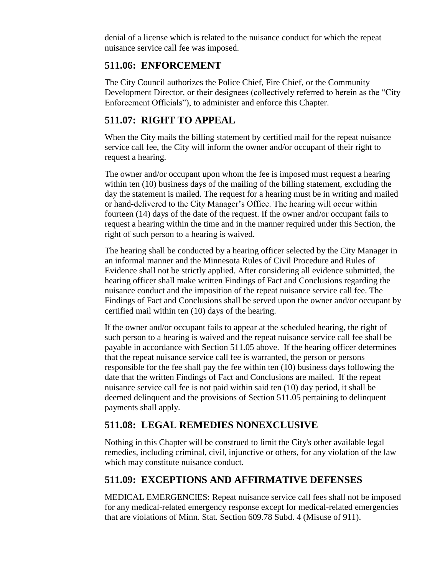denial of a license which is related to the nuisance conduct for which the repeat nuisance service call fee was imposed.

## **511.06: ENFORCEMENT**

The City Council authorizes the Police Chief, Fire Chief, or the Community Development Director, or their designees (collectively referred to herein as the "City Enforcement Officials"), to administer and enforce this Chapter.

## **511.07: RIGHT TO APPEAL**

When the City mails the billing statement by certified mail for the repeat nuisance service call fee, the City will inform the owner and/or occupant of their right to request a hearing.

The owner and/or occupant upon whom the fee is imposed must request a hearing within ten (10) business days of the mailing of the billing statement, excluding the day the statement is mailed. The request for a hearing must be in writing and mailed or hand-delivered to the City Manager's Office. The hearing will occur within fourteen (14) days of the date of the request. If the owner and/or occupant fails to request a hearing within the time and in the manner required under this Section, the right of such person to a hearing is waived.

The hearing shall be conducted by a hearing officer selected by the City Manager in an informal manner and the Minnesota Rules of Civil Procedure and Rules of Evidence shall not be strictly applied. After considering all evidence submitted, the hearing officer shall make written Findings of Fact and Conclusions regarding the nuisance conduct and the imposition of the repeat nuisance service call fee. The Findings of Fact and Conclusions shall be served upon the owner and/or occupant by certified mail within ten (10) days of the hearing.

If the owner and/or occupant fails to appear at the scheduled hearing, the right of such person to a hearing is waived and the repeat nuisance service call fee shall be payable in accordance with Section 511.05 above. If the hearing officer determines that the repeat nuisance service call fee is warranted, the person or persons responsible for the fee shall pay the fee within ten (10) business days following the date that the written Findings of Fact and Conclusions are mailed. If the repeat nuisance service call fee is not paid within said ten (10) day period, it shall be deemed delinquent and the provisions of Section 511.05 pertaining to delinquent payments shall apply.

## **511.08: LEGAL REMEDIES NONEXCLUSIVE**

Nothing in this Chapter will be construed to limit the City's other available legal remedies, including criminal, civil, injunctive or others, for any violation of the law which may constitute nuisance conduct.

## **511.09: EXCEPTIONS AND AFFIRMATIVE DEFENSES**

MEDICAL EMERGENCIES: Repeat nuisance service call fees shall not be imposed for any medical-related emergency response except for medical-related emergencies that are violations of Minn. Stat. Section 609.78 Subd. 4 (Misuse of 911).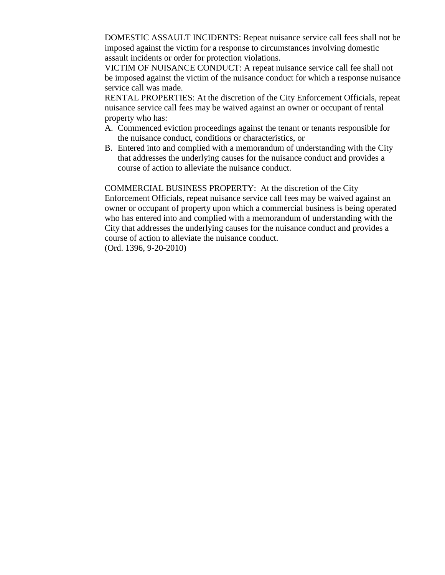DOMESTIC ASSAULT INCIDENTS: Repeat nuisance service call fees shall not be imposed against the victim for a response to circumstances involving domestic assault incidents or order for protection violations.

VICTIM OF NUISANCE CONDUCT: A repeat nuisance service call fee shall not be imposed against the victim of the nuisance conduct for which a response nuisance service call was made.

RENTAL PROPERTIES: At the discretion of the City Enforcement Officials, repeat nuisance service call fees may be waived against an owner or occupant of rental property who has:

- A. Commenced eviction proceedings against the tenant or tenants responsible for the nuisance conduct, conditions or characteristics, or
- B. Entered into and complied with a memorandum of understanding with the City that addresses the underlying causes for the nuisance conduct and provides a course of action to alleviate the nuisance conduct.

COMMERCIAL BUSINESS PROPERTY: At the discretion of the City Enforcement Officials, repeat nuisance service call fees may be waived against an owner or occupant of property upon which a commercial business is being operated who has entered into and complied with a memorandum of understanding with the City that addresses the underlying causes for the nuisance conduct and provides a course of action to alleviate the nuisance conduct. (Ord. 1396, 9-20-2010)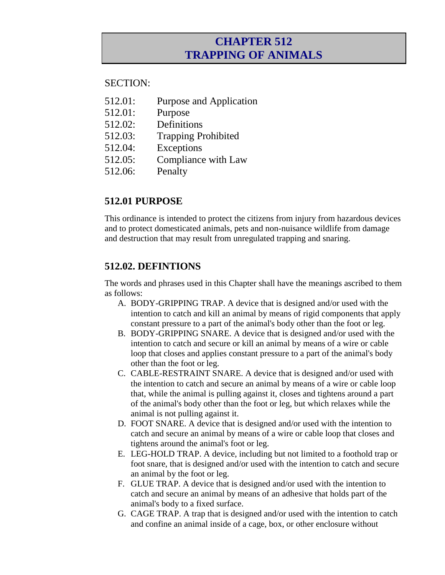## **CHAPTER 512 TRAPPING OF ANIMALS**

#### SECTION:

- 512.01: Purpose and Application
- 512.01: Purpose
- 512.02: Definitions
- 512.03: Trapping Prohibited
- 512.04: Exceptions
- 512.05: Compliance with Law
- 512.06: Penalty

## **512.01 PURPOSE**

This ordinance is intended to protect the citizens from injury from hazardous devices and to protect domesticated animals, pets and non-nuisance wildlife from damage and destruction that may result from unregulated trapping and snaring.

### **512.02. DEFINTIONS**

The words and phrases used in this Chapter shall have the meanings ascribed to them as follows:

- A. BODY-GRIPPING TRAP. A device that is designed and/or used with the intention to catch and kill an animal by means of rigid components that apply constant pressure to a part of the animal's body other than the foot or leg.
- B. BODY-GRIPPING SNARE. A device that is designed and/or used with the intention to catch and secure or kill an animal by means of a wire or cable loop that closes and applies constant pressure to a part of the animal's body other than the foot or leg.
- C. CABLE-RESTRAINT SNARE. A device that is designed and/or used with the intention to catch and secure an animal by means of a wire or cable loop that, while the animal is pulling against it, closes and tightens around a part of the animal's body other than the foot or leg, but which relaxes while the animal is not pulling against it.
- D. FOOT SNARE. A device that is designed and/or used with the intention to catch and secure an animal by means of a wire or cable loop that closes and tightens around the animal's foot or leg.
- E. LEG-HOLD TRAP. A device, including but not limited to a foothold trap or foot snare, that is designed and/or used with the intention to catch and secure an animal by the foot or leg.
- F. GLUE TRAP. A device that is designed and/or used with the intention to catch and secure an animal by means of an adhesive that holds part of the animal's body to a fixed surface.
- G. CAGE TRAP. A trap that is designed and/or used with the intention to catch and confine an animal inside of a cage, box, or other enclosure without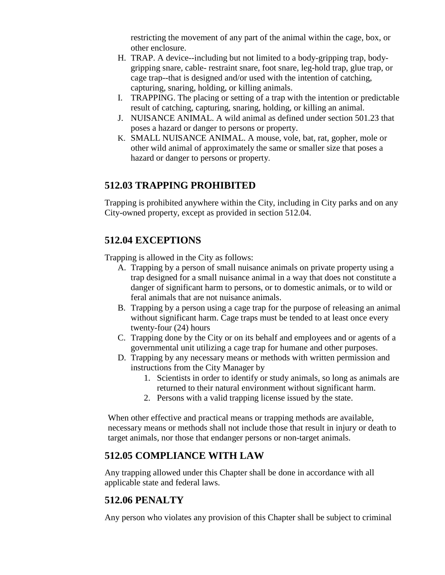restricting the movement of any part of the animal within the cage, box, or other enclosure.

- H. TRAP. A device--including but not limited to a body-gripping trap, bodygripping snare, cable- restraint snare, foot snare, leg-hold trap, glue trap, or cage trap--that is designed and/or used with the intention of catching, capturing, snaring, holding, or killing animals.
- I. TRAPPING. The placing or setting of a trap with the intention or predictable result of catching, capturing, snaring, holding, or killing an animal.
- J. NUISANCE ANIMAL. A wild animal as defined under section 501.23 that poses a hazard or danger to persons or property.
- K. SMALL NUISANCE ANIMAL. A mouse, vole, bat, rat, gopher, mole or other wild animal of approximately the same or smaller size that poses a hazard or danger to persons or property.

### **512.03 TRAPPING PROHIBITED**

Trapping is prohibited anywhere within the City, including in City parks and on any City-owned property, except as provided in section 512.04.

## **512.04 EXCEPTIONS**

Trapping is allowed in the City as follows:

- A. Trapping by a person of small nuisance animals on private property using a trap designed for a small nuisance animal in a way that does not constitute a danger of significant harm to persons, or to domestic animals, or to wild or feral animals that are not nuisance animals.
- B. Trapping by a person using a cage trap for the purpose of releasing an animal without significant harm. Cage traps must be tended to at least once every twenty-four (24) hours
- C. Trapping done by the City or on its behalf and employees and or agents of a governmental unit utilizing a cage trap for humane and other purposes.
- D. Trapping by any necessary means or methods with written permission and instructions from the City Manager by
	- 1. Scientists in order to identify or study animals, so long as animals are returned to their natural environment without significant harm.
	- 2. Persons with a valid trapping license issued by the state.

When other effective and practical means or trapping methods are available, necessary means or methods shall not include those that result in injury or death to target animals, nor those that endanger persons or non-target animals.

## **512.05 COMPLIANCE WITH LAW**

Any trapping allowed under this Chapter shall be done in accordance with all applicable state and federal laws.

## **512.06 PENALTY**

Any person who violates any provision of this Chapter shall be subject to criminal